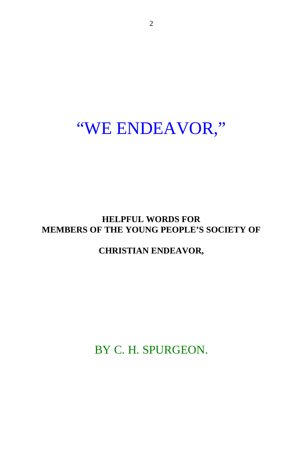### "WE ENDEAVOR,"

#### **HELPFUL WORDS FOR MEMBERS OF THE YOUNG PEOPLE'S SOCIETY OF**

#### **CHRISTIAN ENDEAVOR,**

BY C. H. SPURGEON.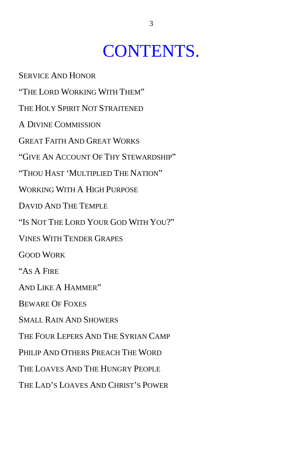## CONTENTS.

SERVICE AND HONOR "THE LORD WORKING WITH THEM" THE HOLY SPIRIT NOT STRAITENED A DIVINE COMMISSION GREAT FAITH AND GREAT WORKS "GIVE AN ACCOUNT OF THY STEWARDSHIP" "THOU HAST 'MULTIPLIED THE NATION" WORKING WITH A HIGH PURPOSE DAVID AND THE TEMPLE "IS NOT THE LORD YOUR GOD WITH YOU?" VINES WITH TENDER GRAPES GOOD WORK "AS A FIRE AND LIKE A HAMMER" BEWARE OF FOXES SMALL RAIN AND SHOWERS THE FOUR LEPERS AND THE SYRIAN CAMP PHILIP AND OTHERS PREACH THE WORD THE LOAVES AND THE HUNGRY PEOPLE THE LAD'S LOAVES AND CHRIST'S POWER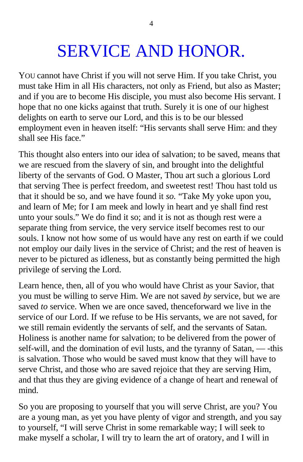# SERVICE AND HONOR.

YOU cannot have Christ if you will not serve Him. If you take Christ, you must take Him in all His characters, not only as Friend, but also as Master; and if you are to become His disciple, you must also become His servant. I hope that no one kicks against that truth. Surely it is one of our highest delights on earth to serve our Lord, and this is to be our blessed employment even in heaven itself: "His servants shall serve Him: and they shall see His face."

This thought also enters into our idea of salvation; to be saved, means that we are rescued from the slavery of sin, and brought into the delightful liberty of the servants of God. O Master, Thou art such a glorious Lord that serving Thee is perfect freedom, and sweetest rest! Thou hast told us that it should be so, and we have found it *so.* "Take My yoke upon you, and learn of Me; for I am meek and lowly in heart and ye shall find rest unto your souls." We do find it so; and it is not as though rest were a separate thing from service, the very service itself becomes rest to our souls. I know not how some of us would have any rest on earth if we could not employ our daily lives in the service of Christ; and the rest of heaven is never to be pictured as idleness, but as constantly being permitted the high privilege of serving the Lord.

Learn hence, then, all of you who would have Christ as your Savior, that you must be willing to serve Him. We are not saved *by* service, but we are saved *to* service. When we are once saved, thenceforward we live in the service of our Lord. If we refuse to be His servants, we are not saved, for we still remain evidently the servants of self, and the servants of Satan. Holiness is another name for salvation; to be delivered from the power of self-will, and the domination of evil lusts, and the tyranny of Satan, — -this is salvation. Those who would be saved must know that they will have to serve Christ, and those who are saved rejoice that they are serving Him, and that thus they are giving evidence of a change of heart and renewal of mind.

So you are proposing to yourself that you will serve Christ, are you? You are a young man, as yet you have plenty of vigor and strength, and you say to yourself, "I will serve Christ in some remarkable way; I will seek to make myself a scholar, I will try to learn the art of oratory, and I will in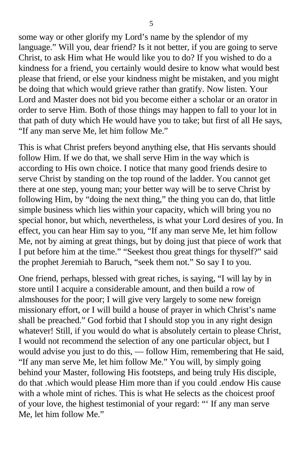some way or other glorify my Lord's name by the splendor of my language." Will you, dear friend? Is it not better, if you are going to serve Christ, to ask Him what He would like you to do? If you wished to do a kindness for a friend, you certainly would desire to know what would best please that friend, or else your kindness might be mistaken, and you might be doing that which would grieve rather than gratify. Now listen. Your Lord and Master does not bid you become either a scholar or an orator in order to serve Him. Both of those things may happen to fall to your lot in that path of duty which He would have you to take; but first of all He says, "If any man serve Me, let him follow Me."

This is what Christ prefers beyond anything else, that His servants should follow Him. If we do that, we shall serve Him in the way which is according to His own choice. I notice that many good friends desire to serve Christ by standing on the top round of the ladder. You cannot get there at one step, young man; your better way will be to serve Christ by following Him, by "doing the next thing," the thing you can do, that little simple business which lies within your capacity, which will bring you no special honor, but which, nevertheless, is what your Lord desires of you. In effect, you can hear Him say to you, "If any man serve Me, let him follow Me, not by aiming at great things, but by doing just that piece of work that I put before him at the time." "Seekest thou great things for thyself?" said the prophet Jeremiah to Baruch, "seek them not." So say I to you.

One friend, perhaps, blessed with great riches, is saying, "I will lay by in store until I acquire a considerable amount, and then build a row of almshouses for the poor; I will give very largely to some new foreign missionary effort, or I will build a house of prayer in which Christ's name shall be preached." God forbid that I should stop you in any right design whatever! Still, if you would do what is absolutely certain to please Christ, I would not recommend the selection of any one particular object, but I would advise you just to do this, — follow Him, remembering that He said, "If any man serve Me, let him follow Me." You will, by simply going behind your Master, following His footsteps, and being truly His disciple, do that .which would please Him more than if you could .endow His cause with a whole mint of riches. This is what He selects as the choicest proof of your love, the highest testimonial of your regard: "' If any man serve Me, let him follow Me."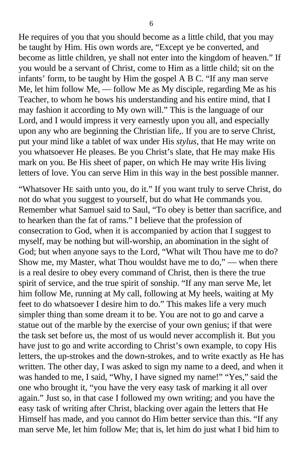He requires of you that you should become as a little child, that you may be taught by Him. His own words are, "Except ye be converted, and become as little children, ye shall not enter into the kingdom of heaven." If you would be a servant of Christ, come to Him as a little child; sit on the infants' form, to be taught by Him the gospel A B C. "If any man serve Me, let him follow Me, — follow Me as My disciple, regarding Me as his Teacher, to whom he bows his understanding and his entire mind, that I may fashion it according to My own will." This is the language of our Lord, and I would impress it very earnestly upon you all, and especially upon any who are beginning the Christian life,. If you are to serve Christ, put your mind like a tablet of wax under His *stylus,* that He may write on you whatsoever He pleases. Be you Christ's slate, that He may make His mark on you. Be His sheet of paper, on which He may write His living letters of love. You can serve Him in this way in the best possible manner.

"Whatsover HE saith unto you, do it." If you want truly to serve Christ, do not do what you suggest to yourself, but do what He commands you. Remember what Samuel said to Saul, "To obey is better than sacrifice, and to hearken than the fat of rams." I believe that the profession of consecration to God, when it is accompanied by action that I suggest to myself, may be nothing but will-worship, an abomination in the sight of God; but when anyone says to the Lord, "What wilt Thou have me to do? Show me, my Master, what Thou wouldst have me to do," — when there is a real desire to obey every command of Christ, then is there the true spirit of service, and the true spirit of sonship. "If any man serve Me, let him follow Me, running at My call, following at My heels, waiting at My feet to do whatsoever I desire him to do." This makes life a very much simpler thing than some dream it to be. You are not to go and carve a statue out of the marble by the exercise of your own genius; if that were the task set before us, the most of us would never accomplish it. But you have just to go and write according to Christ's own example, to copy His letters, the up-strokes and the down-strokes, and to write exactly as He has written. The other day, I was asked to sign my name to a deed, and when it was handed to me, I said, "Why, I have signed my name!" "Yes," said the one who brought it, "you have the very easy task of marking it all over again." Just so, in that case I followed my own writing; and you have the easy task of writing after Christ, blacking over again the letters that He Himself has made, and you cannot do Him better service than this. "If any man serve Me, let him follow Me; that is, let him do just what I bid him to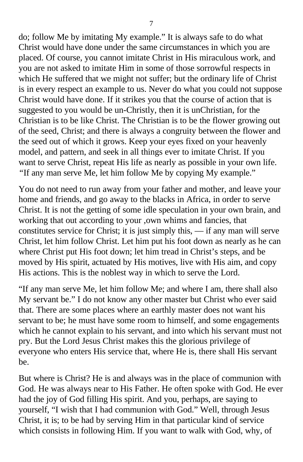do; follow Me by imitating My example." It is always safe to do what Christ would have done under the same circumstances in which you are placed. Of course, you cannot imitate Christ in His miraculous work, and you are not asked to imitate Him in some of those sorrowful respects in which He suffered that we might not suffer; but the ordinary life of Christ is in every respect an example to us. Never do what you could not suppose Christ would have done. If it strikes you that the course of action that is suggested to you would be un-Christly, then it is unChristian, for the Christian is to be like Christ. The Christian is to be the flower growing out of the seed, Christ; and there is always a congruity between the flower and the seed out of which it grows. Keep your eyes fixed on your heavenly model, and pattern, and seek in all things ever to imitate Christ. If you want to serve Christ, repeat His life as nearly as possible in your own life. *"*If any man serve Me, let him follow Me by copying My example."

You do not need to run away from your father and mother, and leave your home and friends, and go away to the blacks in Africa, in order to serve Christ. It is not the getting of some idle speculation in your own brain, and working that out according to your ,own whims and fancies, that constitutes service for Christ; it is just simply this, — if any man will serve Christ, let him follow Christ. Let him put his foot down as nearly as he can where Christ put His foot down; let him tread in Christ's steps, and be moved by His spirit, actuated by His motives, live with His aim, and copy His actions. This is the noblest way in which to serve the Lord.

"If any man serve Me, let him follow Me; and where I am, there shall also My servant be." I do not know any other master but Christ who ever said that. There are some places where an earthly master does not want his servant to be; he must have some room to himself, and some engagements which he cannot explain to his servant, and into which his servant must not pry. But the Lord Jesus Christ makes this the glorious privilege of everyone who enters His service that, where He is, there shall His servant be.

But where is Christ? He is and always was in the place of communion with God. He was always near to His Father. He often spoke with God. He ever had the joy of God filling His spirit. And you, perhaps, are saying to yourself, "I wish that I had communion with God." Well, through Jesus Christ, it is; to be had by serving Him in that particular kind of service which consists in following Him. If you want to walk with God, why, of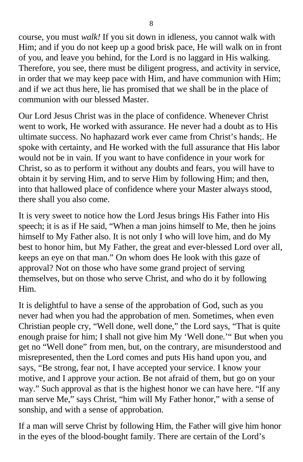course, you must *walk!* If you sit down in idleness, you cannot walk with Him; and if you do not keep up a good brisk pace, He will walk on in front of you, and leave you behind, for the Lord is no laggard in His walking. Therefore, you see, there must be diligent progress, and activity in service, in order that we may keep pace with Him, and have communion with Him; and if we act thus here, lie has promised that we shall be in the place of communion with our blessed Master.

Our Lord Jesus Christ was in the place of confidence. Whenever Christ went to work, He worked with assurance. He never had a doubt as to His ultimate success. No haphazard work ever came from Christ's hands;. He spoke with certainty, and He worked with the full assurance that His labor would not be in vain. If you want to have confidence in your work for Christ, so as to perform it without any doubts and fears, you will have to obtain it by serving Him, and to serve Him by following Him; and then, into that hallowed place of confidence where your Master always stood, there shall you also come.

It is very sweet to notice how the Lord Jesus brings His Father into His speech; it is as if He said, "When a man joins himself to Me, then he joins himself to My Father also. It is not only I who will love him, and do My best to honor him, but My Father, the great and ever-blessed Lord over all, keeps an eye on that man." On whom does He look with this gaze of approval? Not on those who have some grand project of serving themselves, but on those who serve Christ, and who do it by following Him.

It is delightful to have a sense of the approbation of God, such as you never had when you had the approbation of men. Sometimes, when even Christian people cry, "Well done, well done," the Lord says, "That is quite enough praise for him; I shall not give him My 'Well done.'" But when you get no "Well done" from men, but, on the contrary, are misunderstood and misrepresented, then the Lord comes and puts His hand upon you, and says, "Be strong, fear not, I have accepted your service. I know your motive, and I approve your action. Be not afraid of them, but go on your way." Such approval as that is the highest honor we can have here. "If any man serve Me," says Christ, "him will My Father honor," with a sense of sonship, and with a sense of approbation.

If a man will serve Christ by following Him, the Father will give him honor in the eyes of the blood-bought family. There are certain of the Lord's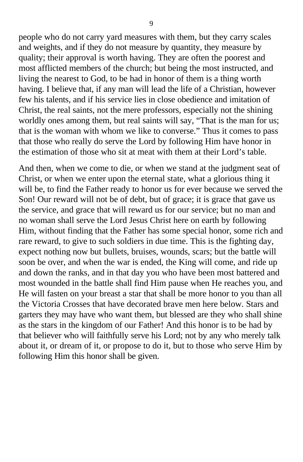people who do not carry yard measures with them, but they carry scales and weights, and if they do not measure by quantity, they measure by quality; their approval is worth having. They are often the poorest and most afflicted members of the church; but being the most instructed, and living the nearest to God, to be had in honor of them is a thing worth having. I believe that, if any man will lead the life of a Christian, however few his talents, and if his service lies in close obedience and imitation of Christ, the real saints, not the mere professors, especially not the shining worldly ones among them, but real saints will say, "That is the man for us; that is the woman with whom we like to converse." Thus it comes to pass that those who really do serve the Lord by following Him have honor in the estimation of those who sit at meat with them at their Lord's table.

And then, when we come to die, or when we stand at the judgment seat of Christ, or when we enter upon the eternal state, what a glorious thing it will be, to find the Father ready to honor us for ever because we served the Son! Our reward will not be of debt, but of grace; it is grace that gave us the service, and grace that will reward us for our service; but no man and no woman shall serve the Lord Jesus Christ here on earth by following Him, without finding that the Father has some special honor, some rich and rare reward, to give to such soldiers in due time. This is the fighting day, expect nothing now but bullets, bruises, wounds, scars; but the battle will soon be over, and when the war is ended, the King will come, and ride up and down the ranks, and in that day you who have been most battered and most wounded in the battle shall find Him pause when He reaches you, and He will fasten on your breast a star that shall be more honor to you than all the Victoria Crosses that have decorated brave men here below. Stars and garters they may have who want them, but blessed are they who shall shine as the stars in the kingdom of our Father! And this honor is to be had by that believer who will faithfully serve his Lord; not by any who merely talk about it, or dream of it, or propose to do it, but to those who serve Him by following Him this honor shall be given.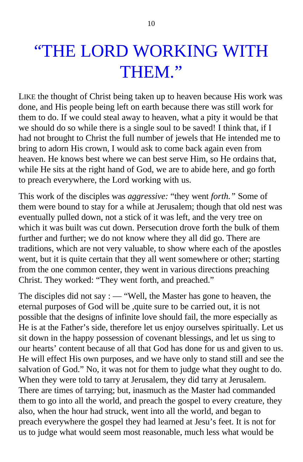## "THE LORD WORKING WITH THEM."

LIKE the thought of Christ being taken up to heaven because His work was done, and His people being left on earth because there was still work for them to do. If we could steal away to heaven, what a pity it would be that we should do so while there is a single soul to be saved! I think that, if I had not brought to Christ the full number of jewels that He intended me to bring to adorn His crown, I would ask to come back again even from heaven. He knows best where we can best serve Him, so He ordains that, while He sits at the right hand of God, we are to abide here, and go forth to preach everywhere, the Lord working with us.

This work of the disciples was *aggressive:* "they went *forth."* Some of them were bound to stay for a while at Jerusalem; though that old nest was eventually pulled down, not a stick of it was left, and the very tree on which it was built was cut down. Persecution drove forth the bulk of them further and further; we do not know where they all did go. There are traditions, which are not very valuable, to show where each of the apostles went, but it is quite certain that they all went somewhere or other; starting from the one common center, they went in various directions preaching Christ. They worked: "They went forth, and preached."

The disciples did not say : — "Well, the Master has gone to heaven, the eternal purposes of God will be ,quite sure to be carried out, it is not possible that the designs of infinite love should fail, the more especially as He is at the Father's side, therefore let us enjoy ourselves spiritually. Let us sit down in the happy possession of covenant blessings, and let us sing to our hearts' content because of all that God has done for us and given to us. He will effect His own purposes, and we have only to stand still and see the salvation of God." No, it was not for them to judge what they ought to do. When they were told to tarry at Jerusalem, they did tarry at Jerusalem. There are times of tarrying; but, inasmuch as the Master had commanded them to go into all the world, and preach the gospel to every creature, they also, when the hour had struck, went into all the world, and began to preach everywhere the gospel they had learned at Jesu's feet. It is not for us to judge what would seem most reasonable, much less what would be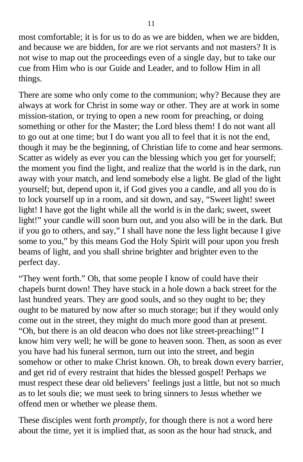most comfortable; it is for us to do as we are bidden, when we are bidden, and because we are bidden, for are we riot servants and not masters? It is not wise to map out the proceedings even of a single day, but to take our cue from Him who is our Guide and Leader, and to follow Him in all things.

There are some who only come to the communion; why? Because they are always at work for Christ in some way or other. They are at work in some mission-station, or trying to open a new room for preaching, or doing something or other for the Master; the Lord bless them! I do not want all to go out at one time; but I do want you all to feel that it is not the end, though it may be the beginning, of Christian life to come and hear sermons. Scatter as widely as ever you can the blessing which you get for yourself; the moment you find the light, and realize that the world is in the dark, run away with your match, and lend somebody else a light. Be glad of the light yourself; but, depend upon it, if God gives you a candle, and all you do is to lock yourself up in a room, and sit down, and say, "Sweet light! sweet light! I have got the light while all the world is in the dark; sweet, sweet light!" your candle will soon burn out, and you also will be in the dark. But if you go to others, and say," I shall have none the less light because I give some to you," by this means God the Holy Spirit will pour upon you fresh beams of light, and you shall shrine brighter and brighter even to the perfect day.

"They went forth." Oh, that some people I know of could have their chapels burnt down! They have stuck in a hole down a back street for the last hundred years. They are good souls, and so they ought to be; they ought to be matured by now after so much storage; but if they would only come out in the street, they might do much more good than at present. "Oh, but there is an old deacon who does not like street-preaching!" I know him very well; he will be gone to heaven soon. Then, as soon as ever you have had his funeral sermon, turn out into the street, and begin somehow or other to make Christ known. Oh, to break down every barrier, and get rid of every restraint that hides the blessed gospel! Perhaps we must respect these dear old believers' feelings just a little, but not so much as to let souls die; we must seek to bring sinners to Jesus whether we offend men or whether we please them.

These disciples went forth *promptly*, for though there is not a word here about the time, yet it is implied that, as soon as the hour had struck, and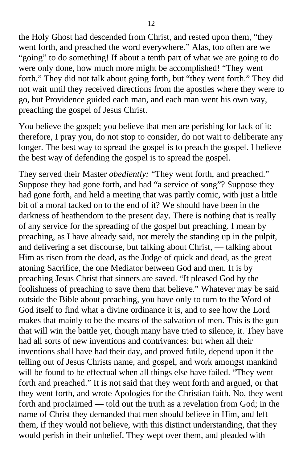the Holy Ghost had descended from Christ, and rested upon them, "they went forth, and preached the word everywhere." Alas, too often are we "going" to do something! If about a tenth part of what we are going to do were only done, how much more might be accomplished! "They went forth." They did not talk about going forth, but "they went forth." They did not wait until they received directions from the apostles where they were to go, but Providence guided each man, and each man went his own way, preaching the gospel of Jesus Christ.

You believe the gospel; you believe that men are perishing for lack of it; therefore, I pray you, do not stop to consider, do not wait to deliberate any longer. The best way to spread the gospel is to preach the gospel. I believe the best way of defending the gospel is to spread the gospel.

They served their Master *obediently:* "They went forth, and preached." Suppose they had gone forth, and had "a service of song"? Suppose they had gone forth, and held a meeting that was partly comic, with just a little bit of a moral tacked on to the end of it? We should have been in the darkness of heathendom to the present day. There is nothing that is really of any service for the spreading of the gospel but preaching. I mean by preaching, as I have already said, not merely the standing up in the pulpit, and delivering a set discourse, but talking about Christ, — talking about Him as risen from the dead, as the Judge of quick and dead, as the great atoning Sacrifice, the one Mediator between God and men. It is by preaching Jesus Christ that sinners are saved. "It pleased God by the foolishness of preaching to save them that believe." Whatever may be said outside the Bible about preaching, you have only to turn to the Word of God itself to find what a divine ordinance it is, and to see how the Lord makes that mainly to be the means of the salvation of men. This is the gun that will win the battle yet, though many have tried to silence, it. They have had all sorts of new inventions and contrivances: but when all their inventions shall have had their day, and proved futile, depend upon it the telling out of Jesus Christs name, and gospel, and work amongst mankind will be found to be effectual when all things else have failed. "They went forth and preached." It is not said that they went forth and argued, or that they went forth, and wrote Apologies for the Christian faith. No, they went forth and proclaimed — told out the truth as a revelation from God; in the name of Christ they demanded that men should believe in Him, and left them, if they would not believe, with this distinct understanding, that they would perish in their unbelief. They wept over them, and pleaded with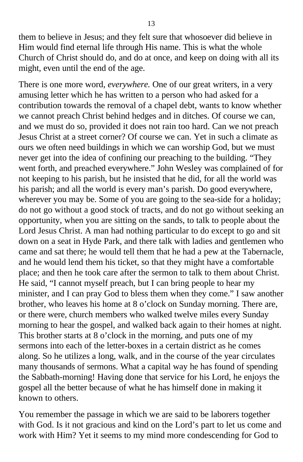them to believe in Jesus; and they felt sure that whosoever did believe in Him would find eternal life through His name. This is what the whole Church of Christ should do, and do at once, and keep on doing with all its might, even until the end of the age.

There is one more word, *everywhere.* One of our great writers, in a very amusing letter which he has written to a person who had asked for a contribution towards the removal of a chapel debt, wants to know whether we cannot preach Christ behind hedges and in ditches. Of course we can, and we must do so, provided it does not rain too hard. Can we not preach Jesus Christ at a street corner? Of course we can. Yet in such a climate as ours we often need buildings in which we can worship God, but we must never get into the idea of confining our preaching to the building. "They went forth, and preached everywhere." John Wesley was complained of for not keeping to his parish, but he insisted that he did, for all the world was his parish; and all the world is every man's parish. Do good everywhere, wherever you may be. Some of you are going to the sea-side for a holiday; do not go without a good stock of tracts, and do not go without seeking an opportunity, when you are sitting on the sands, to talk to people about the Lord Jesus Christ. A man had nothing particular to do except to go and sit down on a seat in Hyde Park, and there talk with ladies and gentlemen who came and sat there; he would tell them that he had a pew at the Tabernacle, and he would lend them his ticket, so that they might have a comfortable place; and then he took care after the sermon to talk to them about Christ. He said, "I cannot myself preach, but I can bring people to hear my minister, and I can pray God to bless them when they come." I saw another brother, who leaves his home at 8 o'clock on Sunday morning. There are, or there were, church members who walked twelve miles every Sunday morning to hear the gospel, and walked back again to their homes at night. This brother starts at 8 o'clock in the morning, and puts one of my sermons into each of the letter-boxes in a certain district as he comes along. So he utilizes a long, walk, and in the course of the year circulates many thousands of sermons. What a capital way he has found of spending the Sabbath-morning! Having done that service for his Lord, he enjoys the gospel all the better because of what he has himself done in making it known to others.

You remember the passage in which we are said to be laborers together with God. Is it not gracious and kind on the Lord's part to let us come and work with Him? Yet it seems to my mind more condescending for God to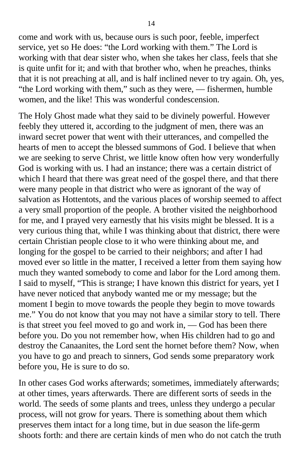come and work with us, because ours is such poor, feeble, imperfect service, yet so He does: "the Lord working with them." The Lord is working with that dear sister who, when she takes her class, feels that she is quite unfit for it; and with that brother who, when he preaches, thinks that it is not preaching at all, and is half inclined never to try again. Oh, yes, "the Lord working with them," such as they were, — fishermen, humble women, and the like! This was wonderful condescension.

The Holy Ghost made what they said to be divinely powerful. However feebly they uttered it, according to the judgment of men, there was an inward secret power that went with their utterances, and compelled the hearts of men to accept the blessed summons of God. I believe that when we are seeking to serve Christ, we little know often how very wonderfully God is working with us. I had an instance; there was a certain district of which I heard that there was great need of the gospel there, and that there were many people in that district who were as ignorant of the way of salvation as Hottentots, and the various places of worship seemed to affect a very small proportion of the people. A brother visited the neighborhood for me, and I prayed very earnestly that his visits might be blessed. It is a very curious thing that, while I was thinking about that district, there were certain Christian people close to it who were thinking about me, and longing for the gospel to be carried to their neighbors; and after I had moved ever so little in the matter, I received a letter from them saying how much they wanted somebody to come and labor for the Lord among them. I said to myself, "This is strange; I have known this district for years, yet I have never noticed that anybody wanted me or my message; but the moment I begin to move towards the people they begin to move towards me." You do not know that you may not have a similar story to tell. There is that street you feel moved to go and work in, — God has been there before you. Do you not remember how, when His children had to go and destroy the Canaanites, the Lord sent the hornet before them? Now, when you have to go and preach to sinners, God sends some preparatory work before you, He is sure to do so.

In other cases God works afterwards; sometimes, immediately afterwards; at other times, years afterwards. There are different sorts of seeds in the world. The seeds of some plants and trees, unless they undergo a pecular process, will not grow for years. There is something about them which preserves them intact for a long time, but in due season the life-germ shoots forth: and there are certain kinds of men who do not catch the truth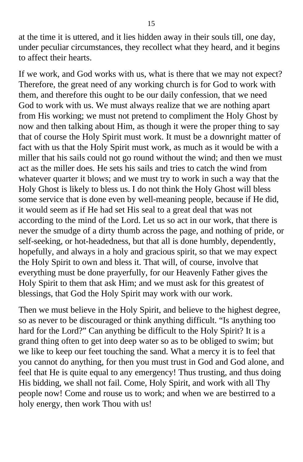at the time it is uttered, and it lies hidden away in their souls till, one day, under peculiar circumstances, they recollect what they heard, and it begins to affect their hearts.

If we work, and God works with us, what is there that we may not expect? Therefore, the great need of any working church is for God to work with them, and therefore this ought to be our daily confession, that we need God to work with us. We must always realize that we are nothing apart from His working; we must not pretend to compliment the Holy Ghost by now and then talking about Him, as though it were the proper thing to say that of course the Holy Spirit must work. It must be a downright matter of fact with us that the Holy Spirit must work, as much as it would be with a miller that his sails could not go round without the wind; and then we must act as the miller does. He sets his sails and tries to catch the wind from whatever quarter it blows; and we must try to work in such a way that the Holy Ghost is likely to bless us. I do not think the Holy Ghost will bless some service that is done even by well-meaning people, because if He did, it would seem as if He had set His seal to a great deal that was not according to the mind of the Lord. Let us so act in our work, that there is never the smudge of a dirty thumb across the page, and nothing of pride, or self-seeking, or hot-headedness, but that all is done humbly, dependently, hopefully, and always in a holy and gracious spirit, so that we may expect the Holy Spirit to own and bless it. That will, of course, involve that everything must be done prayerfully, for our Heavenly Father gives the Holy Spirit to them that ask Him; and we must ask for this greatest of blessings, that God the Holy Spirit may work with our work.

Then we must believe in the Holy Spirit, and believe to the highest degree, so as never to be discouraged or think anything difficult. "Is anything too hard for the Lord?" Can anything be difficult to the Holy Spirit? It is a grand thing often to get into deep water so as to be obliged to swim; but we like to keep our feet touching the sand. What a mercy it is to feel that you cannot do anything, for then you must trust in God and God alone, and feel that He is quite equal to any emergency! Thus trusting, and thus doing His bidding, we shall not fail. Come, Holy Spirit, and work with all Thy people now! Come and rouse us to work; and when we are bestirred to a holy energy, then work Thou with us!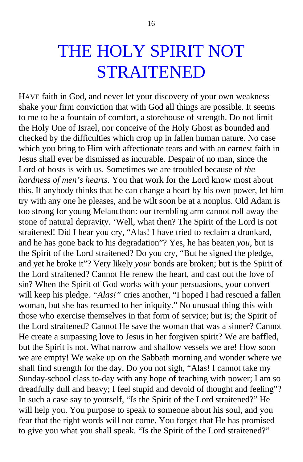## THE HOLY SPIRIT NOT STRAITENED

HAVE faith in God, and never let your discovery of your own weakness shake your firm conviction that with God all things are possible. It seems to me to be a fountain of comfort, a storehouse of strength. Do not limit the Holy One of Israel, nor conceive of the Holy Ghost as bounded and checked by the difficulties which crop up in fallen human nature. No case which you bring to Him with affectionate tears and with an earnest faith in Jesus shall ever be dismissed as incurable. Despair of no man, since the Lord of hosts is with us. Sometimes we are troubled because of *the hardness of men's hearts.* You that work for the Lord know most about this. If anybody thinks that he can change a heart by his own power, let him try with any one he pleases, and he wilt soon be at a nonplus. Old Adam is too strong for young Melancthon: our trembling arm cannot roll away the stone of natural depravity. 'Well, what then? The Spirit of the Lord is not straitened! Did I hear you cry, "Alas! I have tried to reclaim a drunkard, and he has gone back to his degradation"? Yes, he has beaten *you,* but is the Spirit of the Lord straitened? Do you cry, "But he signed the pledge, and yet he broke it"? Very likely *your* bonds are broken; but is the Spirit of the Lord straitened? Cannot He renew the heart, and cast out the love of sin? When the Spirit of God works with your persuasions, your convert will keep his pledge. *"Alas!"* cries another, "I hoped I had rescued a fallen woman, but she has returned to her iniquity." No unusual thing this with those who exercise themselves in that form of service; but is; the Spirit of the Lord straitened? Cannot He save the woman that was a sinner? Cannot He create a surpassing love to Jesus in her forgiven spirit? We are baffled, but the Spirit is not. What narrow and shallow vessels we are! How soon we are empty! We wake up on the Sabbath morning and wonder where we shall find strength for the day. Do you not sigh, "Alas! I cannot take my Sunday-school class to-day with any hope of teaching with power; I am so dreadfully dull and heavy; I feel stupid and devoid of thought and feeling"? In such a case say to yourself, "Is the Spirit of the Lord straitened?" He will help you. You purpose to speak to someone about his soul, and you fear that the right words will not come. You forget that He has promised to give you what you shall speak. "Is the Spirit of the Lord straitened?"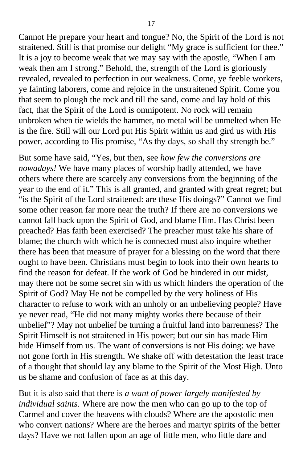Cannot He prepare your heart and tongue? No, the Spirit of the Lord is not straitened. Still is that promise our delight "My grace is sufficient for thee." It is a joy to become weak that we may say with the apostle, "When I am weak then am I strong." Behold, the, strength of the Lord is gloriously revealed, revealed to perfection in our weakness. Come, ye feeble workers, ye fainting laborers, come and rejoice in the unstraitened Spirit. Come you that seem to plough the rock and till the sand, come and lay hold of this fact, that the Spirit of the Lord is omnipotent. No rock will remain unbroken when tie wields the hammer, no metal will be unmelted when He is the fire. Still will our Lord put His Spirit within us and gird us with His power, according to His promise, "As thy days, so shall thy strength be."

But some have said, "Yes, but then, see *how few the conversions are nowadays!* We have many places of worship badly attended, we have others where there are scarcely any conversions from the beginning of the year to the end of it." This is all granted, and granted with great regret; but "is the Spirit of the Lord straitened: are these His doings?" Cannot we find some other reason far more near the truth? If there are no conversions we cannot fall back upon the Spirit of God, and blame Him. Has Christ been preached? Has faith been exercised? The preacher must take his share of blame; the church with which he is connected must also inquire whether there has been that measure of prayer for a blessing on the word that there ought to have been. Christians must begin to look into their own hearts to find the reason for defeat. If the work of God be hindered in our midst, may there not be some secret sin with us which hinders the operation of the Spirit of God? May He not be compelled by the very holiness of His character to refuse to work with an unholy or an unbelieving people? Have ye never read, "He did not many mighty works there because of their unbelief"? May not unbelief be turning a fruitful land into barrenness? The Spirit Himself is not straitened in His power; but our sin has made Him hide Himself from us. The want of conversions is not His doing: we have not gone forth in His strength. We shake off with detestation the least trace of a thought that should lay any blame to the Spirit of the Most High. Unto us be shame and confusion of face as at this day.

But it is also said that there is *a want of power largely manifested by individual saints.* Where are now the men who can go up to the top of Carmel and cover the heavens with clouds? Where are the apostolic men who convert nations? Where are the heroes and martyr spirits of the better days? Have we not fallen upon an age of little men, who little dare and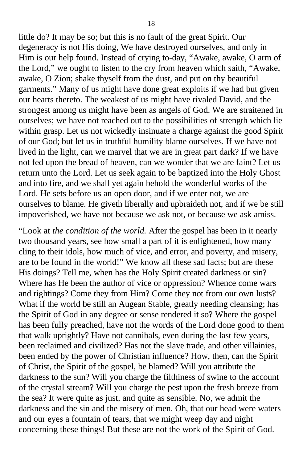little do? It may be so; but this is no fault of the great Spirit. Our degeneracy is not His doing, We have destroyed ourselves, and only in Him is our help found. Instead of crying to-day, "Awake, awake, O arm of the Lord," we ought to listen to the cry from heaven which saith, "Awake, awake, O Zion; shake thyself from the dust, and put on thy beautiful garments." Many of us might have done great exploits if we had but given our hearts thereto. The weakest of us might have rivaled David, and the strongest among us might have been as angels of God. We are straitened in ourselves; we have not reached out to the possibilities of strength which lie within grasp. Let us not wickedly insinuate a charge against the good Spirit of our God; but let us in truthful humility blame ourselves. If we have not lived in the light, can we marvel that we are in great part dark? If we have not fed upon the bread of heaven, can we wonder that we are faint? Let us return unto the Lord. Let us seek again to be baptized into the Holy Ghost and into fire, and we shall yet again behold the wonderful works of the Lord. He sets before us an open door, and if we enter not, we are ourselves to blame. He giveth liberally and upbraideth not, and if we be still impoverished, we have not because we ask not, or because we ask amiss.

"Look at *the condition of the world.* After the gospel has been in it nearly two thousand years, see how small a part of it is enlightened, how many cling to their idols, how much of vice, and error, and poverty, and misery, are to be found in the world!" We know all these sad facts; but are these His doings? Tell me, when has the Holy Spirit created darkness or sin? Where has He been the author of vice or oppression? Whence come wars and rightings? Come they from Him? Come they not from our own lusts? What if the world be still an Augean Stable, greatly needing cleansing; has the Spirit of God in any degree or sense rendered it so? Where the gospel has been fully preached, have not the words of the Lord done good to them that walk uprightly? Have not cannibals, even during the last few years, been reclaimed and civilized? Has not the slave trade, and other villainies, been ended by the power of Christian influence? How, then, can the Spirit of Christ, the Spirit of the gospel, be blamed? Will you attribute the darkness to the sun? Will you charge the filthiness of swine to the account of the crystal stream? Will you charge the pest upon the fresh breeze from the sea? It were quite as just, and quite as sensible. No, we admit the darkness and the sin and the misery of men. Oh, that our head were waters and our eyes a fountain of tears, that we might weep day and night concerning these things! But these are not the work of the Spirit of God.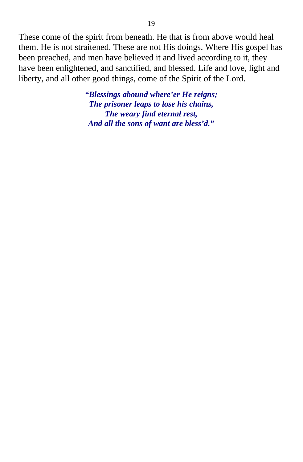These come of the spirit from beneath. He that is from above would heal them. He is not straitened. These are not His doings. Where His gospel has been preached, and men have believed it and lived according to it, they have been enlightened, and sanctified, and blessed. Life and love, light and liberty, and all other good things, come of the Spirit of the Lord.

> *"Blessings abound where'er He reigns; The prisoner leaps to lose his chains, The weary find eternal rest, And all the sons of want are bless'd."*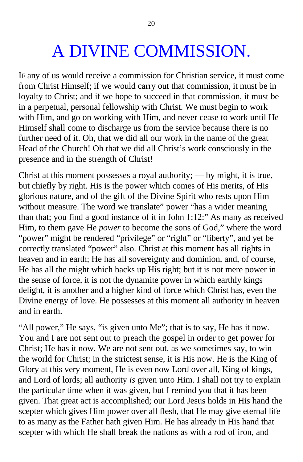# A DIVINE COMMISSION.

IF any of us would receive a commission for Christian service, it must come from Christ Himself; if we would carry out that commission, it must be in loyalty to Christ; and if we hope to succeed in that commission, it must be in a perpetual, personal fellowship with Christ. We must begin to work with Him, and go on working with Him, and never cease to work until He Himself shall come to discharge us from the service because there is no further need of it. Oh, that we did all our work in the name of the great Head of the Church! Oh that we did all Christ's work consciously in the presence and in the strength of Christ!

Christ at this moment possesses a royal authority; — by might, it is true, but chiefly by right. His is the power which comes of His merits, of His glorious nature, and of the gift of the Divine Spirit who rests upon Him without measure. The word we translate" power "has a wider meaning than that; you find a good instance of it in John 1:12:" As many as received Him, to them gave He *power* to become the sons of God," where the word "power" might be rendered "privilege" or "right" or "liberty", and yet be correctly translated "power" also. Christ at this moment has all rights in heaven and in earth; He has all sovereignty and dominion, and, of course, He has all the might which backs up His right; but it is not mere power in the sense of force, it is not the dynamite power in which earthly kings delight, it is another and a higher kind of force which Christ has, even the Divine energy of love. He possesses at this moment all authority in heaven and in earth.

"All power," He says, "is given unto Me"; that is to say, He has it now. You and I are not sent out to preach the gospel in order to get power for Christ; He has it now. We are not sent out, as we sometimes say, to win the world for Christ; in the strictest sense, it is His now. He is the King of Glory at this very moment, He is even now Lord over all, King of kings, and Lord of lords; all authority *is* given unto Him. I shall not try to explain the particular time when it was given, but I remind you that it has been given. That great act is accomplished; our Lord Jesus holds in His hand the scepter which gives Him power over all flesh, that He may give eternal life to as many as the Father hath given Him. He has already in His hand that scepter with which He shall break the nations as with a rod of iron, and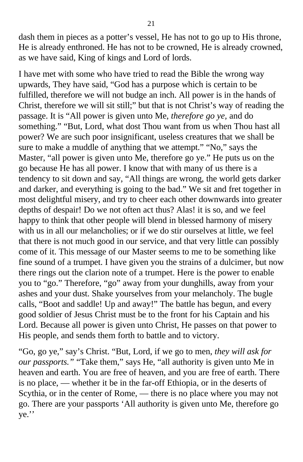dash them in pieces as a potter's vessel, He has not to go up to His throne, He is already enthroned. He has not to be crowned, He is already crowned, as we have said, King of kings and Lord of lords.

I have met with some who have tried to read the Bible the wrong way upwards, They have said, "God has a purpose which is certain to be fulfilled, therefore we will not budge an inch. All power is in the hands of Christ, therefore we will sit still;" but that is not Christ's way of reading the passage. It is "All power is given unto Me, *therefore go ye,* and do something." "But, Lord, what dost Thou want from us when Thou hast all power? We are such poor insignificant, useless creatures that we shall be sure to make a muddle of anything that we attempt." "No," says the Master, "all power is given unto Me, therefore go ye." He puts us on the go because He has all power. I know that with many of us there is a tendency to sit down and say, "All things are wrong, the world gets darker and darker, and everything is going to the bad." We sit and fret together in most delightful misery, and try to cheer each other downwards into greater depths of despair! Do we not often act thus? Alas! it is so, and we feel happy to think that other people will blend in blessed harmony of misery with us in all our melancholies; or if we do stir ourselves at little, we feel that there is not much good in our service, and that very little can possibly come of it. This message of our Master seems to me to be something like fine sound of a trumpet. I have given you the strains of a dulcimer, but now there rings out the clarion note of a trumpet. Here is the power to enable you to "go." Therefore, "go" away from your dunghills, away from your ashes and your dust. Shake yourselves from your melancholy. The bugle calls, "Boot and saddle! Up and away!" The battle has begun, and every good soldier of Jesus Christ must be to the front for his Captain and his Lord. Because all power is given unto Christ, He passes on that power to His people, and sends them forth to battle and to victory.

"Go, go ye," say's Christ. "But, Lord, if we go to men, *they will ask for our passports."* "Take them," says He, "all authority is given unto Me in heaven and earth. You are free of heaven, and you are free of earth. There is no place, — whether it be in the far-off Ethiopia, or in the deserts of Scythia, or in the center of Rome, — there is no place where you may not go. There are your passports 'All authority is given unto Me, therefore go ye.''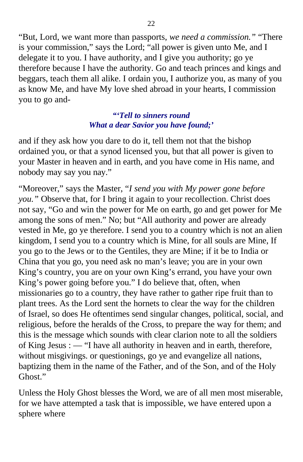"But, Lord, we want more than passports, *we need a commission."* "There is your commission," says the Lord; "all power is given unto Me, and I delegate it to you. I have authority, and I give you authority; go ye therefore because I have the authority. Go and teach princes and kings and beggars, teach them all alike. I ordain you, I authorize you, as many of you as know Me, and have My love shed abroad in your hearts, I commission you to go and-

#### *"'Tell to sinners round What a dear Savior you have found;'*

and if they ask how you dare to do it, tell them not that the bishop ordained you, or that a synod licensed you, but that all power is given to your Master in heaven and in earth, and you have come in His name, and nobody may say you nay."

"Moreover," says the Master, "*I send you with My power gone before you."* Observe that, for I bring it again to your recollection. Christ does not say, "Go and win the power for Me on earth, go and get power for Me among the sons of men." No; but "All authority and power are already vested in Me, go ye therefore. I send you to a country which is not an alien kingdom, I send you to a country which is Mine, for all souls are Mine, If you go to the Jews or to the Gentiles, they are Mine; if it be to India or China that you go, you need ask no man's leave; you are in your own King's country, you are on your own King's errand, you have your own King's power going before you." I do believe that, often, when missionaries go to a country, they have rather to gather ripe fruit than to plant trees. As the Lord sent the hornets to clear the way for the children of Israel, so does He oftentimes send singular changes, political, social, and religious, before the heralds of the Cross, to prepare the way for them; and this is the message which sounds with clear clarion note to all the soldiers of King Jesus : — "I have all authority in heaven and in earth, therefore, without misgivings. or questionings, go ye and evangelize all nations, baptizing them in the name of the Father, and of the Son, and of the Holy Ghost."

Unless the Holy Ghost blesses the Word, we are of all men most miserable, for we have attempted a task that is impossible, we have entered upon a sphere where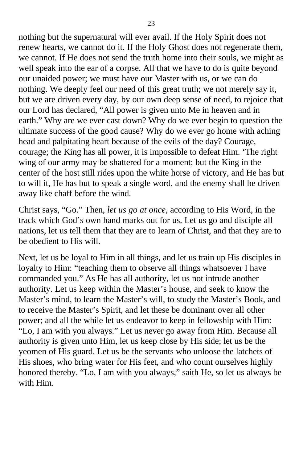nothing but the supernatural will ever avail. If the Holy Spirit does not renew hearts, we cannot do it. If the Holy Ghost does not regenerate them, we cannot. If He does not send the truth home into their souls, we might as well speak into the ear of a corpse. All that we have to do is quite beyond our unaided power; we must have our Master with us, or we can do nothing. We deeply feel our need of this great truth; we not merely say it, but we are driven every day, by our own deep sense of need, to rejoice that our Lord has declared, "All power is given unto Me in heaven and in earth." Why are we ever cast down? Why do we ever begin to question the ultimate success of the good cause? Why do we ever go home with aching head and palpitating heart because of the evils of the day? Courage, courage; the King has all power, it is impossible to defeat Him. 'The right wing of our army may be shattered for a moment; but the King in the center of the host still rides upon the white horse of victory, and He has but to will it, He has but to speak a single word, and the enemy shall be driven away like chaff before the wind.

Christ says, "Go." Then, *let us go at once,* according to His Word, in the track which God's own hand marks out for us. Let us go and disciple all nations, let us tell them that they are to learn of Christ, and that they are to be obedient to His will.

Next, let us be loyal to Him in all things, and let us train up His disciples in loyalty to Him: "teaching them to observe all things whatsoever I have commanded you." As He has all authority, let us not intrude another authority. Let us keep within the Master's house, and seek to know the Master's mind, to learn the Master's will, to study the Master's Book, and to receive the Master's Spirit, and let these be dominant over all other power; and all the while let us endeavor to keep in fellowship with Him: "Lo, I am with you always." Let us never go away from Him. Because all authority is given unto Him, let us keep close by His side; let us be the yeomen of His guard. Let us be the servants who unloose the latchets of His shoes, who bring water for His feet, and who count ourselves highly honored thereby. "Lo, I am with you always," saith He, so let us always be with Him.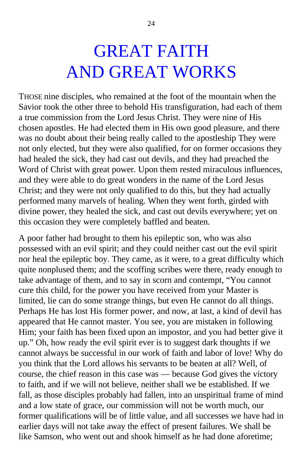## GREAT FAITH AND GREAT WORKS

THOSE nine disciples, who remained at the foot of the mountain when the Savior took the other three to behold His transfiguration, had each of them a true commission from the Lord Jesus Christ. They were nine of His chosen apostles. He had elected them in His own good pleasure, and there was no doubt about their being really called to the apostleship They were not only elected, but they were also qualified, for on former occasions they had healed the sick, they had cast out devils, and they had preached the Word of Christ with great power. Upon them rested miraculous influences, and they were able to do great wonders in the name of the Lord Jesus Christ; and they were not only qualified to do this, but they had actually performed many marvels of healing. When they went forth, girded with divine power, they healed the sick, and cast out devils everywhere; yet on this occasion they were completely baffled and beaten.

A poor father had brought to them his epileptic son, who was also possessed with an evil spirit; and they could neither cast out the evil spirit nor heal the epileptic boy. They came, as it were, to a great difficulty which quite nonplused them; and the scoffing scribes were there, ready enough to take advantage of them, and to say in scorn and contempt, "You cannot cure this child, for the power you have received from your Master is limited, lie can do some strange things, but even He cannot do all things. Perhaps He has lost His former power, and now, at last, a kind of devil has appeared that He cannot master. You see, you are mistaken in following Him; your faith has been fixed upon an impostor, and you had better give it up." Oh, how ready the evil spirit ever is to suggest dark thoughts if we cannot always be successful in our work of faith and labor of love! Why do you think that the Lord allows his servants to be beaten at all? Well, of course, the chief reason in this case was — because God gives the victory to faith, and if we will not believe, neither shall we be established. If we fall, as those disciples probably had fallen, into an unspiritual frame of mind and a low state of grace, our commission will not be worth much, our former qualifications will be of little value, and all successes we have had in earlier days will not take away the effect of present failures. We shall be like Samson, who went out and shook himself as he had done aforetime;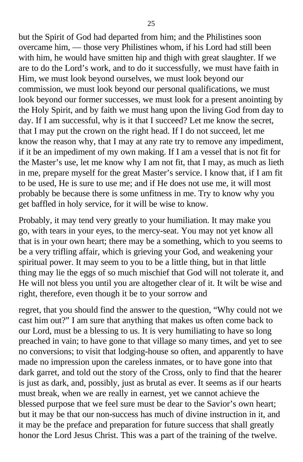but the Spirit of God had departed from him; and the Philistines soon overcame him, — those very Philistines whom, if his Lord had still been with him, he would have smitten hip and thigh with great slaughter. If we are to do the Lord's work, and to do it successfully, we must have faith in Him, we must look beyond ourselves, we must look beyond our commission, we must look beyond our personal qualifications, we must look beyond our former successes, we must look for a present anointing by the Holy Spirit, and by faith we must hang upon the living God from day to day. If I am successful, why is it that I succeed? Let me know the secret, that I may put the crown on the right head. If I do not succeed, let me know the reason why, that I may at any rate try to remove any impediment, if it be an impediment of my own making. If I am a vessel that is not fit for the Master's use, let me know why I am not fit, that I may, as much as lieth in me, prepare myself for the great Master's service. I know that, if I am fit to be used, He is sure to use me; and if He does not use me, it will most probably be because there is some unfitness in me. Try to know why you get baffled in holy service, for it will be wise to know.

Probably, it may tend very greatly to your humiliation. It may make you go, with tears in your eyes, to the mercy-seat. You may not yet know all that is in your own heart; there may be a something, which to you seems to be a very trifling affair, which is grieving your God, and weakening your spiritual power. It may seem to you to be a little thing, but in that little thing may lie the eggs of so much mischief that God will not tolerate it, and He will not bless you until you are altogether clear of it. It wilt be wise and right, therefore, even though it be to your sorrow and

regret, that you should find the answer to the question, "Why could not we cast him out?" I am sure that anything that makes us often come back to our Lord, must be a blessing to us. It is very humiliating to have so long preached in vain; to have gone to that village so many times, and yet to see no conversions; to visit that lodging-house so often, and apparently to have made no impression upon the careless inmates, or to have gone into that dark garret, and told out the story of the Cross, only to find that the hearer is just as dark, and, possibly, just as brutal as ever. It seems as if our hearts must break, when we are really in earnest, yet we cannot achieve the blessed purpose that we feel sure must be dear to the Savior's own heart; but it may be that our non-success has much of divine instruction in it, and it may be the preface and preparation for future success that shall greatly honor the Lord Jesus Christ. This was a part of the training of the twelve.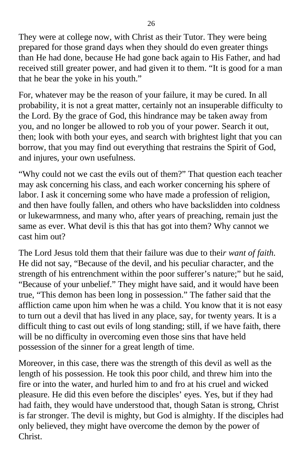They were at college now, with Christ as their Tutor. They were being prepared for those grand days when they should do even greater things than He had done, because He had gone back again to His Father, and had received still greater power, and had given it to them. "It is good for a man that he bear the yoke in his youth."

For, whatever may be the reason of your failure, it may be cured. In all probability, it is not a great matter, certainly not an insuperable difficulty to the Lord. By the grace of God, this hindrance may be taken away from you, and no longer be allowed to rob you of your power. Search it out, then; look with both your eyes, and search with brightest light that you can borrow, that you may find out everything that restrains the Spirit of God, and injures, your own usefulness.

"Why could not we cast the evils out of them?" That question each teacher may ask concerning his class, and each worker concerning his sphere of labor. I ask it concerning some who have made a profession of religion, and then have foully fallen, and others who have backslidden into coldness or lukewarmness, and many who, after years of preaching, remain just the same as ever. What devil is this that has got into them? Why cannot we cast him out?

The Lord Jesus told them that their failure was due to thei*r want of faith.* He did not say, "Because of the devil, and his peculiar character, and the strength of his entrenchment within the poor sufferer's nature;" but he said, "Because of your unbelief." They might have said, and it would have been true, "This demon has been long in possession." The father said that the affliction came upon him when he was a child. You know that it is not easy to turn out a devil that has lived in any place, say, for twenty years. It is a difficult thing to cast out evils of long standing; still, if we have faith, there will be no difficulty in overcoming even those sins that have held possession of the sinner for a great length of time.

Moreover, in this case, there was the strength of this devil as well as the length of his possession. He took this poor child, and threw him into the fire or into the water, and hurled him to and fro at his cruel and wicked pleasure. He did this even before the disciples' eyes. Yes, but if they had had faith, they would have understood that, though Satan is strong, Christ is far stronger. The devil is mighty, but God is almighty. If the disciples had only believed, they might have overcome the demon by the power of Christ.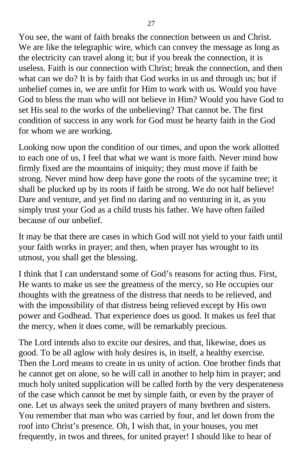You see, the want of faith breaks the connection between us and Christ. We are like the telegraphic wire, which can convey the message as long as the electricity can travel along it; but if you break the connection, it is useless. Faith is our connection with Christ; break the connection, and then what can we do? It is by faith that God works in us and through us; but if unbelief comes in, we are unfit for Him to work with us. Would you have God to bless the man who will not believe in Him? Would you have God to set His seal to the works of the unbelieving? That cannot be. The first condition of success in any work for God must be hearty faith in the God for whom we are working.

Looking now upon the condition of our times, and upon the work allotted to each one of us, I feel that what we want is more faith. Never mind how firmly fixed are the mountains of iniquity; they must move if faith be strong. Never mind how deep have gone the roots of the sycamine tree; it shall be plucked up by its roots if faith be strong. We do not half believe! Dare and venture, and yet find no daring and no venturing in it, as you simply trust your God as a child trusts his father. We have often failed because of our unbelief.

It may be that there are cases in which God will not yield to your faith until your faith works in prayer; and then, when prayer has wrought to its utmost, you shall get the blessing.

I think that I can understand some of God's reasons for acting thus. First, He wants to make us see the greatness of the mercy, so He occupies our thoughts with the greatness of the distress that needs to be relieved, and with the impossibility of that distress being relieved except by His own power and Godhead. That experience does us good. It makes us feel that the mercy, when it does come, will be remarkably precious.

The Lord intends also to excite our desires, and that, likewise, does us good. To be all aglow with holy desires is, in itself, a healthy exercise. Then the Lord means to create in us unity of action. One brother finds that he cannot get on alone, so he will call in another to help him in prayer; and much holy united supplication will be called forth by the very desperateness of the case which cannot be met by simple faith, or even by the prayer of one. Let us always seek the united prayers of many brethren and sisters. You remember that man who was carried by four, and let down from the roof into Christ's presence. Oh, I wish that, in your houses, you met frequently, in twos and threes, for united prayer! I should like to hear of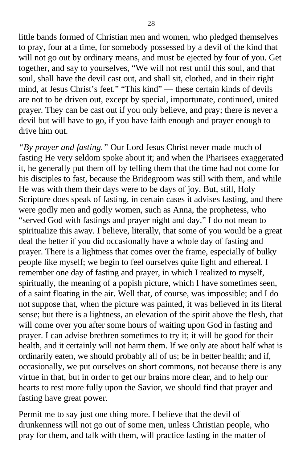little bands formed of Christian men and women, who pledged themselves to pray, four at a time, for somebody possessed by a devil of the kind that will not go out by ordinary means, and must be ejected by four of you. Get together, and say to yourselves, "We will not rest until this soul, and that soul, shall have the devil cast out, and shall sit, clothed, and in their right mind, at Jesus Christ's feet." "This kind" — these certain kinds of devils are not to be driven out, except by special, importunate, continued, united prayer. They can be cast out if you only believe, and pray; there is never a devil but will have to go, if you have faith enough and prayer enough to drive him out.

*"By prayer and fasting."* Our Lord Jesus Christ never made much of fasting He very seldom spoke about it; and when the Pharisees exaggerated it, he generally put them off by telling them that the time had not come for his disciples to fast, because the Bridegroom was still with them, and while He was with them their days were to be days of joy. But, still, Holy Scripture does speak of fasting, in certain cases it advises fasting, and there were godly men and godly women, such as Anna, the prophetess, who "served God with fastings and prayer night and day." I do not mean to spiritualize this away. I believe, literally, that some of you would be a great deal the better if you did occasionally have a whole day of fasting and prayer. There is a lightness that comes over the frame, especially of bulky people like myself; we begin to feel ourselves quite light and ethereal. I remember one day of fasting and prayer, in which I realized to myself, spiritually, the meaning of a popish picture, which I have sometimes seen, of a saint floating in the air. Well that, of course, was impossible; and I do not suppose that, when the picture was painted, it was believed in its literal sense; but there is a lightness, an elevation of the spirit above the flesh, that will come over you after some hours of waiting upon God in fasting and prayer. I can advise brethren sometimes to try it; it will be good for their health, and it certainly will not harm them. If we only ate about half what is ordinarily eaten, we should probably all of us; be in better health; and if, occasionally, we put ourselves on short commons, not because there is any virtue in that, but in order to get our brains more clear, and to help our hearts to rest more fully upon the Savior, we should find that prayer and fasting have great power.

Permit me to say just one thing more. I believe that the devil of drunkenness will not go out of some men, unless Christian people, who pray for them, and talk with them, will practice fasting in the matter of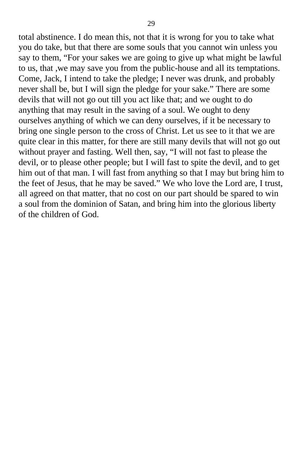total abstinence. I do mean this, not that it is wrong for you to take what you do take, but that there are some souls that you cannot win unless you say to them, "For your sakes we are going to give up what might be lawful to us, that ,we may save you from the public-house and all its temptations. Come, Jack, I intend to take the pledge; I never was drunk, and probably never shall be, but I will sign the pledge for your sake." There are some devils that will not go out till you act like that; and we ought to do anything that may result in the saving of a soul. We ought to deny ourselves anything of which we can deny ourselves, if it be necessary to bring one single person to the cross of Christ. Let us see to it that we are quite clear in this matter, for there are still many devils that will not go out without prayer and fasting. Well then, say, "I will not fast to please the devil, or to please other people; but I will fast to spite the devil, and to get him out of that man. I will fast from anything so that I may but bring him to the feet of Jesus, that he may be saved." We who love the Lord are, I trust, all agreed on that matter, that no cost on our part should be spared to win a soul from the dominion of Satan, and bring him into the glorious liberty of the children of God.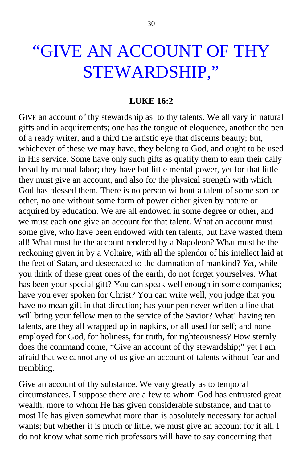## "GIVE AN ACCOUNT OF THY STEWARDSHIP,"

#### **LUKE 16:2**

GIVE an account of thy stewardship as to thy talents. We all vary in natural gifts and in acquirements; one has the tongue of eloquence, another the pen of a ready writer, and a third the artistic eye that discerns beauty; but, whichever of these we may have, they belong to God, and ought to be used in His service. Some have only such gifts as qualify them to earn their daily bread by manual labor; they have but little mental power, yet for that little they must give an account, and also for the physical strength with which God has blessed them. There is no person without a talent of some sort or other, no one without some form of power either given by nature or acquired by education. We are all endowed in some degree or other, and we must each one give an account for that talent. What an account must some give, who have been endowed with ten talents, but have wasted them all! What must be the account rendered by a Napoleon? What must be the reckoning given in by a Voltaire, with all the splendor of his intellect laid at the feet of Satan, and desecrated to the damnation of mankind? *Yet,* while you think of these great ones of the earth, do not forget yourselves. What has been your special gift? You can speak well enough in some companies; have you ever spoken for Christ? You can write well, you judge that you have no mean gift in that direction; has your pen never written a line that will bring your fellow men to the service of the Savior? What! having ten talents, are they all wrapped up in napkins, or all used for self; and none employed for God, for holiness, for truth, for righteousness? How sternly does the command come, "Give an account of thy stewardship;" yet I am afraid that we cannot any of us give an account of talents without fear and trembling.

Give an account of thy substance. We vary greatly as to temporal circumstances. I suppose there are a few to whom God has entrusted great wealth, more to whom He has given considerable substance, and that to most He has given somewhat more than is absolutely necessary for actual wants; but whether it is much or little, we must give an account for it all. I do not know what some rich professors will have to say concerning that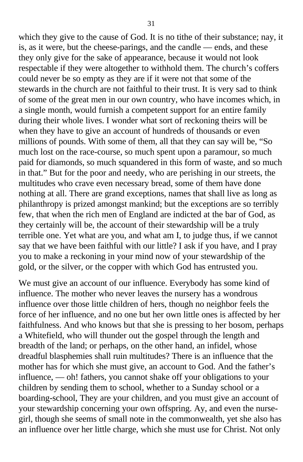which they give to the cause of God. It is no tithe of their substance; nay, it is, as it were, but the cheese-parings, and the candle — ends, and these they only give for the sake of appearance, because it would not look respectable if they were altogether to withhold them. The church's coffers could never be so empty as they are if it were not that some of the stewards in the church are not faithful to their trust. It is very sad to think of some of the great men in our own country, who have incomes which, in a single month, would furnish a competent support for an entire family during their whole lives. I wonder what sort of reckoning theirs will be when they have to give an account of hundreds of thousands or even millions of pounds. With some of them, all that they can say will be, "So much lost on the race-course, so much spent upon a paramour, so much paid for diamonds, so much squandered in this form of waste, and so much in that." But for the poor and needy, who are perishing in our streets, the multitudes who crave even necessary bread, some of them have done nothing at all. There are grand exceptions, names that shall live as long as philanthropy is prized amongst mankind; but the exceptions are so terribly few, that when the rich men of England are indicted at the bar of God, as they certainly will be, the account of their stewardship will be a truly terrible one. Yet what are you, and what am I, to judge thus, if we cannot say that we have been faithful with our little? I ask if you have, and I pray you to make a reckoning in your mind now of your stewardship of the gold, or the silver, or the copper with which God has entrusted you.

We must give an account of our influence. Everybody has some kind of influence. The mother who never leaves the nursery has a wondrous influence over those little children of hers, though no neighbor feels the force of her influence, and no one but her own little ones is affected by her faithfulness. And who knows but that she is pressing to her bosom, perhaps a Whitefield, who will thunder out the gospel through the length and breadth of the land; or perhaps, on the other hand, an infidel, whose dreadful blasphemies shall ruin multitudes? There is an influence that the mother has for which she must give, an account to God. And the father's influence, — oh! fathers, you cannot shake off your obligations to your children by sending them to school, whether to a Sunday school or a boarding-school, They are your children, and you must give an account of your stewardship concerning your own offspring. Ay, and even the nursegirl, though she seems of small note in the commonwealth, yet she also has an influence over her little charge, which she must use for Christ. Not only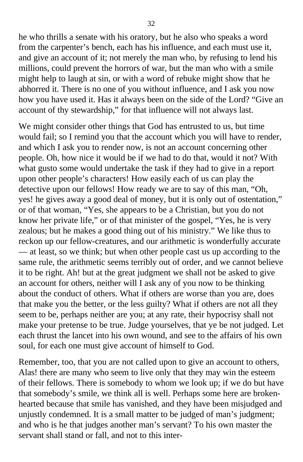he who thrills a senate with his oratory, but he also who speaks a word from the carpenter's bench, each has his influence, and each must use it, and give an account of it; not merely the man who, by refusing to lend his millions, could prevent the horrors of war, but the man who with a smile might help to laugh at sin, or with a word of rebuke might show that he abhorred it. There is no one of you without influence, and I ask you now how you have used it. Has it always been on the side of the Lord? "Give an account of thy stewardship," for that influence will not always last.

We might consider other things that God has entrusted to us, but time would fail; so I remind you that the account which you will have to render, and which I ask you to render now, is not an account concerning other people. Oh, how nice it would be if we had to do that, would it not? With what gusto some would undertake the task if they had to give in a report upon other people's characters! How easily each of us can play the detective upon our fellows! How ready we are to say of this man, "Oh, yes! he gives away a good deal of money, but it is only out of ostentation," or of that woman, "Yes, she appears to be a Christian, but you do not know her private life," or of that minister of the gospel, "Yes, he is very zealous; but he makes a good thing out of his ministry." We like thus to reckon up our fellow-creatures, and our arithmetic is wonderfully accurate — at least, so we think; but when other people cast us up according to the same rule, the arithmetic seems terribly out of order, and we cannot believe it to be right. Ah! but at the great judgment we shall not be asked to give an account for others, neither will I ask any of you now to be thinking about the conduct of others. What if others are worse than you are, does that make you the better, or the less guilty? What if others are not all they seem to be, perhaps neither are you; at any rate, their hypocrisy shall not make your pretense to be true. Judge yourselves, that ye be not judged. Let each thrust the lancet into his own wound, and see to the affairs of his own soul, for each one must give account of himself to God.

Remember, too, that you are not called upon to give an account to others, Alas! there are many who seem to live only that they may win the esteem of their fellows. There is somebody to whom we look up; if we do but have that somebody's smile, we think all is well. Perhaps some here are brokenhearted because that smile has vanished, and they have been misjudged and unjustly condemned. It is a small matter to be judged of man's judgment; and who is he that judges another man's servant? To his own master the servant shall stand or fall, and not to this inter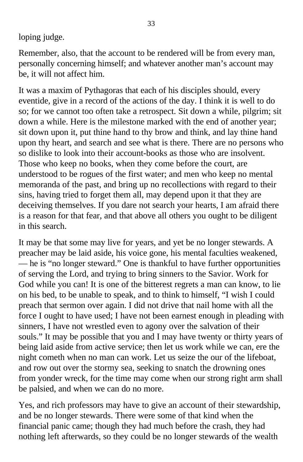loping judge.

Remember, also, that the account to be rendered will be from every man, personally concerning himself; and whatever another man's account may be, it will not affect him.

It was a maxim of Pythagoras that each of his disciples should, every eventide, give in a record of the actions of the day. I think it is well to do so; for we cannot too often take a retrospect. Sit down a while, pilgrim; sit down a while. Here is the milestone marked with the end of another year; sit down upon it, put thine hand to thy brow and think, and lay thine hand upon thy heart, and search and see what is there. There are no persons who so dislike to look into their account-books as those who are insolvent. Those who keep no books, when they come before the court, are understood to be rogues of the first water; and men who keep no mental memoranda of the past, and bring up no recollections with regard to their sins, having tried to forget them all, may depend upon it that they are deceiving themselves. If you dare not search your hearts, I am afraid there is a reason for that fear, and that above all others you ought to be diligent in this search.

It may be that some may live for years, and yet be no longer stewards. A preacher may be laid aside, his voice gone, his mental faculties weakened, — he is "no longer steward." One is thankful to have further opportunities of serving the Lord, and trying to bring sinners to the Savior. Work for God while you can! It is one of the bitterest regrets a man can know, to lie on his bed, to be unable to speak, and to think to himself, "I wish I could preach that sermon over again. I did not drive that nail home with all the force I ought to have used; I have not been earnest enough in pleading with sinners, I have not wrestled even to agony over the salvation of their souls." It may be possible that you and I may have twenty or thirty years of being laid aside from active service; then let us work while we can, ere the night cometh when no man can work. Let us seize the our of the lifeboat, and row out over the stormy sea, seeking to snatch the drowning ones from yonder wreck, for the time may come when our strong right arm shall be palsied, and when we can do no more.

Yes, and rich professors may have to give an account of their stewardship, and be no longer stewards. There were some of that kind when the financial panic came; though they had much before the crash, they had nothing left afterwards, so they could be no longer stewards of the wealth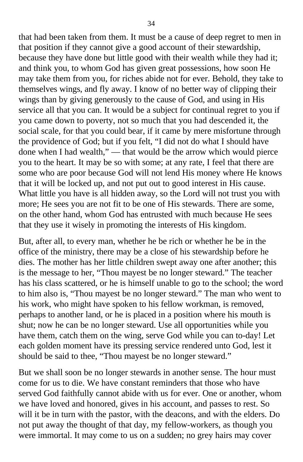that had been taken from them. It must be a cause of deep regret to men in that position if they cannot give a good account of their stewardship, because they have done but little good with their wealth while they had it; and think you, to whom God has given great possessions, how soon He may take them from you, for riches abide not for ever. Behold, they take to themselves wings, and fly away. I know of no better way of clipping their wings than by giving generously to the cause of God, and using in His service all that you can. It would be a subject for continual regret to you if you came down to poverty, not so much that you had descended it, the social scale, for that you could bear, if it came by mere misfortune through the providence of God; but if you felt, "I did not do what I should have done when I had wealth," — that would be the arrow which would pierce you to the heart. It may be so with some; at any rate, I feel that there are some who are poor because God will not lend His money where He knows that it will be locked up, and not put out to good interest in His cause. What little you have is all hidden away, so the Lord will not trust you with more; He sees you are not fit to be one of His stewards. There are some, on the other hand, whom God has entrusted with much because He sees that they use it wisely in promoting the interests of His kingdom.

But, after all, to every man, whether he be rich or whether he be in the office of the ministry, there may be a close of his stewardship before he dies. The mother has her little children swept away one after another; this is the message to her, "Thou mayest be no longer steward." The teacher has his class scattered, or he is himself unable to go to the school; the word to him also is, "Thou mayest be no longer steward." The man who went to his work, who might have spoken to his fellow workman, is removed, perhaps to another land, or he is placed in a position where his mouth is shut; now he can be no longer steward. Use all opportunities while you have them, catch them on the wing, serve God while you can to-day! Let each golden moment have its pressing service rendered unto God, lest it should be said to thee, "Thou mayest be no longer steward."

But we shall soon be no longer stewards in another sense. The hour must come for us to die. We have constant reminders that those who have served God faithfully cannot abide with us for ever. One or another, whom we have loved and honored, gives in his account, and passes to rest. So will it be in turn with the pastor, with the deacons, and with the elders. Do not put away the thought of that day, my fellow-workers, as though you were immortal. It may come to us on a sudden; no grey hairs may cover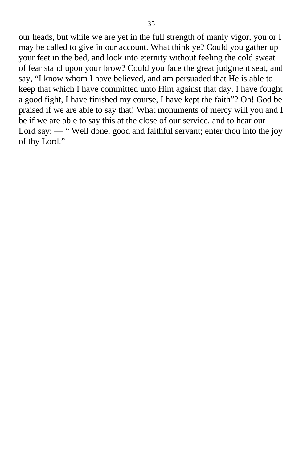our heads, but while we are yet in the full strength of manly vigor, you or I may be called to give in our account. What think ye? Could you gather up your feet in the bed, and look into eternity without feeling the cold sweat of fear stand upon your brow? Could you face the great judgment seat, and say, "I know whom I have believed, and am persuaded that He is able to keep that which I have committed unto Him against that day. I have fought a good fight, I have finished my course, I have kept the faith"? Oh! God be praised if we are able to say that! What monuments of mercy will you and I be if we are able to say this at the close of our service, and to hear our Lord say: — "Well done, good and faithful servant; enter thou into the joy of thy Lord."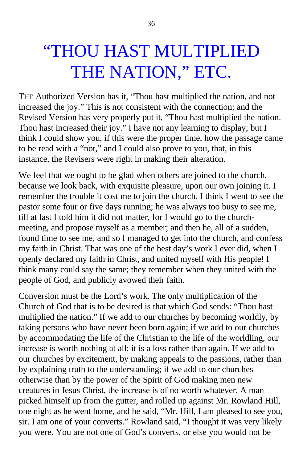# "THOU HAST MULTIPLIED THE NATION," ETC.

THE Authorized Version has it, "Thou hast multiplied the nation, and not increased the joy." This is not consistent with the connection; and the Revised Version has very properly put it, "Thou hast multiplied the nation. Thou hast increased their joy." I have not any learning to display; but I think I could show you, if this were the proper time, how the passage came to be read with a "not," and I could also prove to you, that, in this instance, the Revisers were right in making their alteration.

We feel that we ought to be glad when others are joined to the church, because we look back, with exquisite pleasure, upon our own joining it. I remember the trouble it cost me to join the church. I think I went to see the pastor some four or five days running; he was always too busy to see me, till at last I told him it did not matter, for I would go to the churchmeeting, and propose myself as a member; and then he, all of a sudden, found time to see me, and so I managed to get into the church, and confess my faith in Christ. That was one of the best day's work I ever did, when I openly declared my faith in Christ, and united myself with His people! I think many could say the same; they remember when they united with the people of God, and publicly avowed their faith.

Conversion must be the Lord's work. The only multiplication of the Church of God that is to be desired is that which God sends: "Thou hast multiplied the nation." If we add to our churches by becoming worldly, by taking persons who have never been born again; if we add to our churches by accommodating the life of the Christian to the life of the worldling, our increase is worth nothing at all; it is a loss rather than again. If we add to our churches by excitement, by making appeals to the passions, rather than by explaining truth to the understanding; if we add to our churches otherwise than by the power of the Spirit of God making men new creatures in Jesus Christ, the increase is of no worth whatever. A man picked himself up from the gutter, and rolled up against Mr. Rowland Hill, one night as he went home, and he said, "Mr. Hill, I am pleased to see you, sir. I am one of your converts." Rowland said, "I thought it was very likely you were. You are not one of God's converts, or else you would not be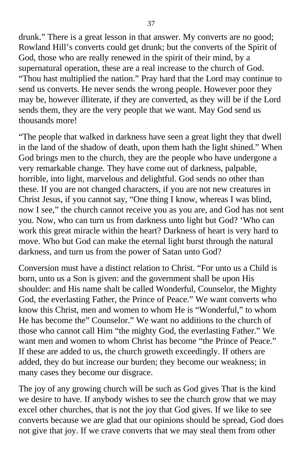drunk." There is a great lesson in that answer. My converts are no good; Rowland Hill's converts could get drunk; but the converts of the Spirit of God, those who are really renewed in the spirit of their mind, by a supernatural operation, these are a real increase to the church of God. "Thou hast multiplied the nation." Pray hard that the Lord may continue to send us converts. He never sends the wrong people. However poor they may be, however illiterate, if they are converted, as they will be if the Lord sends them, they are the very people that we want. May God send us thousands more!

"The people that walked in darkness have seen a great light they that dwell in the land of the shadow of death, upon them hath the light shined." When God brings men to the church, they are the people who have undergone a very remarkable change. They have come out of darkness, palpable, horrible, into light, marvelous and delightful. God sends no other than these. If you are not changed characters, if you are not new creatures in Christ Jesus, if you cannot say, "One thing I know, whereas I was blind, now I see," the church cannot receive you as you are, and God has not sent you. Now, who can turn us from darkness unto light but God? 'Who can work this great miracle within the heart? Darkness of heart is very hard to move. Who but God can make the eternal light burst through the natural darkness, and turn us from the power of Satan unto God?

Conversion must have a distinct relation to Christ. "For unto us a Child is born, unto us a Son is given: and the government shall be upon His shoulder: and His name shalt be called Wonderful, Counselor, the Mighty God, the everlasting Father, the Prince of Peace." We want converts who know this Christ, men and women to whom He is "Wonderful," to whom He has become the" Counselor." We want no additions to the church of those who cannot call Him "the mighty God, the everlasting Father." We want men and women to whom Christ has become "the Prince of Peace." If these are added to us, the church groweth exceedingly. If others are added, they do but increase our burden; they become our weakness; in many cases they become our disgrace.

The joy of any growing church will be such as God gives That is the kind we desire to have. If anybody wishes to see the church grow that we may excel other churches, that is not the joy that God gives. If we like to see converts because we are glad that our opinions should be spread, God does not give that joy. If we crave converts that we may steal them from other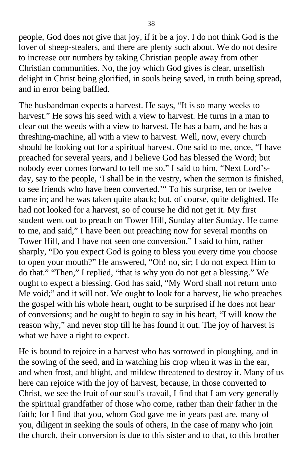people, God does not give that joy, if it be a joy. I do not think God is the lover of sheep-stealers, and there are plenty such about. We do not desire to increase our numbers by taking Christian people away from other Christian communities. No, the joy which God gives is clear, unselfish delight in Christ being glorified, in souls being saved, in truth being spread, and in error being baffled.

The husbandman expects a harvest. He says, "It is so many weeks to harvest." He sows his seed with a view to harvest. He turns in a man to clear out the weeds with a view to harvest. He has a barn, and he has a threshing-machine, all with a view to harvest. Well, now, every church should be looking out for a spiritual harvest. One said to me, once, "I have preached for several years, and I believe God has blessed the Word; but nobody ever comes forward to tell me so." I said to him, "Next Lord'sday, say to the people, 'I shall be in the vestry, when the sermon is finished, to see friends who have been converted.'" To his surprise, ten or twelve came in; and he was taken quite aback; but, of course, quite delighted. He had not looked for a harvest, so of course he did not get it. My first student went out to preach on Tower Hill, Sunday after Sunday. He came to me, and said," I have been out preaching now for several months on Tower Hill, and I have not seen one conversion." I said to him, rather sharply, "Do you expect God is going to bless you every time you choose to open your mouth?" He answered, "Oh! no, sir; I do not expect Him to do that." "Then," I replied, "that is why you do not get a blessing." We ought to expect a blessing. God has said, "My Word shall not return unto Me void;" and it will not. We ought to look for a harvest, lie who preaches the gospel with his whole heart, ought to be surprised if he does not hear of conversions; and he ought to begin to say in his heart, "I will know the reason why," and never stop till he has found it out. The joy of harvest is what we have a right to expect.

He is bound to rejoice in a harvest who has sorrowed in ploughing, and in the sowing of the seed, and in watching his crop when it was in the ear, and when frost, and blight, and mildew threatened to destroy it. Many of us here can rejoice with the joy of harvest, because, in those converted to Christ, we see the fruit of our soul's travail, I find that I am very generally the spiritual grandfather of those who come, rather than their father in the faith; for I find that you, whom God gave me in years past are, many of you, diligent in seeking the souls of others, In the case of many who join the church, their conversion is due to this sister and to that, to this brother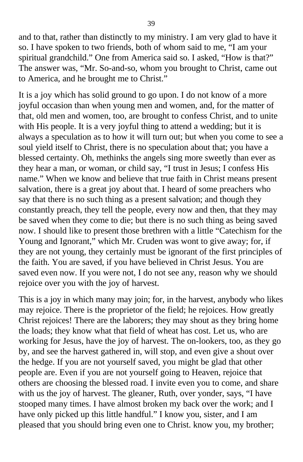and to that, rather than distinctly to my ministry. I am very glad to have it so. I have spoken to two friends, both of whom said to me, "I am your spiritual grandchild." One from America said so. I asked, "How is that?" The answer was, "Mr. So-and-so, whom you brought to Christ, came out to America, and he brought me to Christ."

It is a joy which has solid ground to go upon. I do not know of a more joyful occasion than when young men and women, and, for the matter of that, old men and women, too, are brought to confess Christ, and to unite with His people. It is a very joyful thing to attend a wedding; but it is always a speculation as to how it will turn out; but when you come to see a soul yield itself to Christ, there is no speculation about that; you have a blessed certainty. Oh, methinks the angels sing more sweetly than ever as they hear a man, or woman, or child say, "I trust in Jesus; I confess His name." When we know and believe that true faith in Christ means present salvation, there is a great joy about that. I heard of some preachers who say that there is no such thing as a present salvation; and though they constantly preach, they tell the people, every now and then, that they may be saved when they come to die; but there is no such thing as being saved now. I should like to present those brethren with a little "Catechism for the Young and Ignorant," which Mr. Cruden was wont to give away; for, if they are not young, they certainly must be ignorant of the first principles of the faith. You are saved, if you have believed in Christ Jesus. You are saved even now. If you were not, I do not see any, reason why we should rejoice over you with the joy of harvest.

This is a joy in which many may join; for, in the harvest, anybody who likes may rejoice. There is the proprietor of the field; he rejoices. How greatly Christ rejoices! There are the laborers; they may shout as they bring home the loads; they know what that field of wheat has cost. Let us, who are working for Jesus, have the joy of harvest. The on-lookers, too, as they go by, and see the harvest gathered in, will stop, and even give a shout over the hedge. If you are not yourself saved, you might be glad that other people are. Even if you are not yourself going to Heaven, rejoice that others are choosing the blessed road. I invite even you to come, and share with us the joy of harvest. The gleaner, Ruth, over yonder, says, "I have stooped many times. I have almost broken my back over the work; and I have only picked up this little handful." I know you, sister, and I am pleased that you should bring even one to Christ. know you, my brother;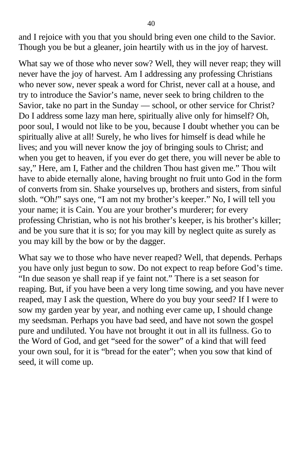and I rejoice with you that you should bring even one child to the Savior. Though you be but a gleaner, join heartily with us in the joy of harvest.

What say we of those who never sow? Well, they will never reap; they will never have the joy of harvest. Am I addressing any professing Christians who never sow, never speak a word for Christ, never call at a house, and try to introduce the Savior's name, never seek to bring children to the Savior, take no part in the Sunday — school, or other service for Christ? Do I address some lazy man here, spiritually alive only for himself? Oh, poor soul, I would not like to be you, because I doubt whether you can be spiritually alive at all! Surely, he who lives for himself is dead while he lives; and you will never know the joy of bringing souls to Christ; and when you get to heaven, if you ever do get there, you will never be able to say," Here, am I, Father and the children Thou hast given me." Thou wilt have to abide eternally alone, having brought no fruit unto God in the form of converts from sin. Shake yourselves up, brothers and sisters, from sinful sloth. "Oh*!*" says one, "I am not my brother's keeper." No, I will tell you your name; it is Cain. You are your brother's murderer; for every professing Christian, who is not his brother's keeper, is his brother's killer; and be you sure that it is so; for you may kill by neglect quite as surely as you may kill by the bow or by the dagger.

What say we to those who have never reaped? Well, that depends. Perhaps you have only just begun to sow. Do not expect to reap before God's time. "In due season ye shall reap if ye faint not." There is a set season for reaping. But, if you have been a very long time sowing, and you have never reaped, may I ask the question, Where do you buy your seed? If I were to sow my garden year by year, and nothing ever came up, I should change my seedsman. Perhaps you have bad seed, and have not sown the gospel pure and undiluted. You have not brought it out in all its fullness. Go to the Word of God, and get "seed for the sower" of a kind that will feed your own soul, for it is "bread for the eater"; when you sow that kind of seed, it will come up.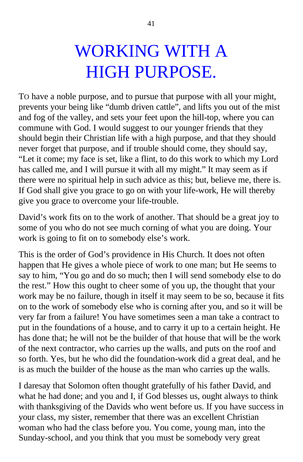# WORKING WITH A HIGH PURPOSE.

TO have a noble purpose, and to pursue that purpose with all your might, prevents your being like "dumb driven cattle", and lifts you out of the mist and fog of the valley, and sets your feet upon the hill-top, where you can commune with God. I would suggest to our younger friends that they should begin their Christian life with a high purpose, and that they should never forget that purpose, and if trouble should come, they should say, "Let it come; my face is set, like a flint, to do this work to which my Lord has called me, and I will pursue it with all my might." It may seem as if there were no spiritual help in such advice as this; but, believe me, there is. If God shall give you grace to go on with your life-work, He will thereby give you grace to overcome your life-trouble.

David's work fits on to the work of another. That should be a great joy to some of you who do not see much corning of what you are doing. Your work is going to fit on to somebody else's work.

This is the order of God's providence in His Church. It does not often happen that He gives a whole piece of work to one man; but He seems to say to him, "You go and do so much; then I will send somebody else to do the rest." How this ought to cheer some of you up, the thought that your work may be no failure, though in itself it may seem to be so, because it fits on to the work of somebody else who is corning after you, and so it will be very far from a failure! You have sometimes seen a man take a contract to put in the foundations of a house, and to carry it up to a certain height. He has done that; he will not be the builder of that house that will be the work of the next contractor, who carries up the walls, and puts on the roof and so forth. Yes, but he who did the foundation-work did a great deal, and he is as much the builder of the house as the man who carries up the walls.

I daresay that Solomon often thought gratefully of his father David, and what he had done; and you and I, if God blesses us, ought always to think with thanksgiving of the Davids who went before us. If you have success in your class, my sister, remember that there was an excellent Christian woman who had the class before you. You come, young man, into the Sunday-school, and you think that you must be somebody very great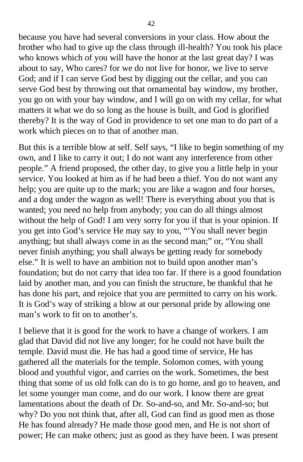because you have had several conversions in your class. How about the brother who had to give up the class through ill-health? You took his place who knows which of you will have the honor at the last great day? I was about to say, Who cares? for we do not live for honor, we live to serve God; and if I can serve God best by digging out the cellar, and you can serve God best by throwing out that ornamental bay window, my brother, you go on with your bay window, and I will go on with my cellar, for what matters it what we do so long as the house is built, and God is glorified thereby? It is the way of God in providence to set one man to do part of a work which pieces on to that of another man.

But this is a terrible blow at self. Self says, "I like to begin something of my own, and I like to carry it out; I do not want any interference from other people." A friend proposed, the other day, to give you a little help in your service. You looked at him as if he had been a thief. You do not want any help; you are quite up to the mark; you are like a wagon and four horses, and a dog under the wagon as well! There is everything about you that is wanted; you need no help from anybody; you can do all things almost without the help of God! I am very sorry for you if that is your opinion. If you get into God's service He may say to you, "'You shall never begin anything; but shall always come in as the second man;" or, "You shall never finish anything; you shall always be getting ready for somebody else." It is well to have an ambition not to build upon another man's foundation; but do not carry that idea too far. If there is a good foundation laid by another man, and you can finish the structure, be thankful that he has done his part, and rejoice that you are permitted to carry on his work. It is God's way of striking a blow at our personal pride by allowing one man's work to fit on to another's.

I believe that it is good for the work to have a change of workers. I am glad that David did not live any longer; for he could not have built the temple. David must die. He has had a good time of service, He has gathered all the materials for the temple. Solomon comes, with young blood and youthful vigor, and carries on the work. Sometimes, the best thing that some of us old folk can do is to go home, and go to heaven, and let some younger man come, and do our work. I know there are great lamentations about the death of Dr. So-and-so, and Mr. So-and-so; but why? Do you not think that, after all, God can find as good men as those He has found already? He made those good men, and He is not short of power; He can make others; just as good as they have been. I was present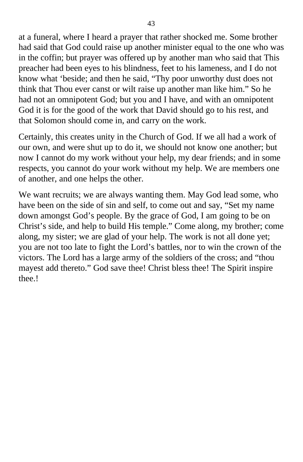at a funeral, where I heard a prayer that rather shocked me. Some brother had said that God could raise up another minister equal to the one who was in the coffin; but prayer was offered up by another man who said that This preacher had been eyes to his blindness, feet to his lameness, and I do not know what 'beside; and then he said, "Thy poor unworthy dust does not think that Thou ever canst or wilt raise up another man like him." So he had not an omnipotent God; but you and I have, and with an omnipotent God it is for the good of the work that David should go to his rest, and that Solomon should come in, and carry on the work.

Certainly, this creates unity in the Church of God. If we all had a work of our own, and were shut up to do it, we should not know one another; but now I cannot do my work without your help, my dear friends; and in some respects, you cannot do your work without my help. We are members one of another, and one helps the other.

We want recruits; we are always wanting them. May God lead some, who have been on the side of sin and self, to come out and say, "Set my name down amongst God's people. By the grace of God, I am going to be on Christ's side, and help to build His temple." Come along, my brother; come along, my sister; we are glad of your help. The work is not all done yet; you are not too late to fight the Lord's battles, nor to win the crown of the victors. The Lord has a large army of the soldiers of the cross; and "thou mayest add thereto." God save thee! Christ bless thee! The Spirit inspire thee.!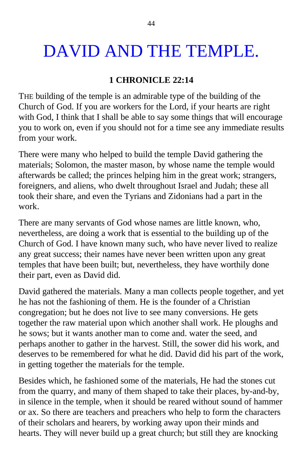## DAVID AND THE TEMPLE.

#### **1 CHRONICLE 22:14**

THE building of the temple is an admirable type of the building of the Church of God. If you are workers for the Lord, if your hearts are right with God, I think that I shall be able to say some things that will encourage you to work on, even if you should not for a time see any immediate results from your work.

There were many who helped to build the temple David gathering the materials; Solomon, the master mason, by whose name the temple would afterwards be called; the princes helping him in the great work; strangers, foreigners, and aliens, who dwelt throughout Israel and Judah; these all took their share, and even the Tyrians and Zidonians had a part in the work.

There are many servants of God whose names are little known, who, nevertheless, are doing a work that is essential to the building up of the Church of God. I have known many such, who have never lived to realize any great success; their names have never been written upon any great temples that have been built; but, nevertheless, they have worthily done their part, even as David did.

David gathered the materials. Many a man collects people together, and yet he has not the fashioning of them. He is the founder of a Christian congregation; but he does not live to see many conversions. He gets together the raw material upon which another shall work. He ploughs and he sows; but it wants another man to come and. water the seed, and perhaps another to gather in the harvest. Still, the sower did his work, and deserves to be remembered for what he did. David did his part of the work, in getting together the materials for the temple.

Besides which, he fashioned some of the materials, He had the stones cut from the quarry, and many of them shaped to take their places, by-and-by, in silence in the temple, when it should be reared without sound of hammer or ax. So there are teachers and preachers who help to form the characters of their scholars and hearers, by working away upon their minds and hearts. They will never build up a great church; but still they are knocking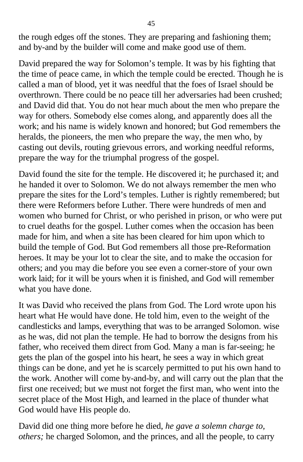the rough edges off the stones. They are preparing and fashioning them; and by-and by the builder will come and make good use of them.

David prepared the way for Solomon's temple. It was by his fighting that the time of peace came, in which the temple could be erected. Though he is called a man of blood, yet it was needful that the foes of Israel should be overthrown. There could be no peace till her adversaries had been crushed; and David did that. You do not hear much about the men who prepare the way for others. Somebody else comes along, and apparently does all the work; and his name is widely known and honored; but God remembers the heralds, the pioneers, the men who prepare the way, the men who, by casting out devils, routing grievous errors, and working needful reforms, prepare the way for the triumphal progress of the gospel.

David found the site for the temple. He discovered it; he purchased it; and he handed it over to Solomon. We do not always remember the men who prepare the sites for the Lord's temples. Luther is rightly remembered; but there were Reformers before Luther. There were hundreds of men and women who burned for Christ, or who perished in prison, or who were put to cruel deaths for the gospel. Luther comes when the occasion has been made for him, and when a site has been cleared for him upon which to build the temple of God. But God remembers all those pre-Reformation heroes. It may be your lot to clear the site, and to make the occasion for others; and you may die before you see even a corner-store of your own work laid; for it will be yours when it is finished, and God will remember what you have done.

It was David who received the plans from God. The Lord wrote upon his heart what He would have done. He told him, even to the weight of the candlesticks and lamps, everything that was to be arranged Solomon. wise as he was, did not plan the temple. He had to borrow the designs from his father, who received them direct from God. Many a man is far-seeing; he gets the plan of the gospel into his heart, he sees a way in which great things can be done, and yet he is scarcely permitted to put his own hand to the work. Another will come by-and-by, and will carry out the plan that the first one received; but we must not forget the first man, who went into the secret place of the Most High, and learned in the place of thunder what God would have His people do.

David did one thing more before he died, *he gave a solemn charge to, others;* he charged Solomon, and the princes, and all the people, to carry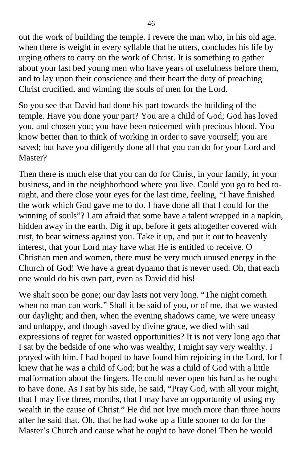out the work of building the temple. I revere the man who, in his old age, when there is weight in every syllable that he utters, concludes his life by urging others to carry on the work of Christ. It is something to gather about your last bed young men who have years of usefulness before them, and to lay upon their conscience and their heart the duty of preaching Christ crucified, and winning the souls of men for the Lord.

So you see that David had done his part towards the building of the temple. Have you done your part? You are a child of God; God has loved you, and chosen you; you have been redeemed with precious blood. You know better than to think of working in order to save yourself; you are saved; but have you diligently done all that you can do for your Lord and Master?

Then there is much else that you can do for Christ, in your family, in your business, and in the neighborhood where you live. Could you go to bed tonight, and there close your eyes for the last time, feeling, "I have finished the work which God gave me to do. I have done all that I could for the winning of souls"? I am afraid that some have a talent wrapped in a napkin, hidden away in the earth. Dig it up, before it gets altogether covered with rust, to bear witness against you. Take it up, and put it out to heavenly interest, that your Lord may have what He is entitled to receive. O Christian men and women, there must be very much unused energy in the Church of God! We have a great dynamo that is never used. Oh, that each one would do his own part, even as David did his!

We shalt soon be gone; our day lasts not very long. "The night cometh when no man can work." Shall it be said of you, or of me, that we wasted our daylight; and then, when the evening shadows came, we were uneasy and unhappy, and though saved by divine grace, we died with sad expressions of regret for wasted opportunities? It is not very long ago that I sat by the bedside of one who was wealthy, I might say very wealthy. I prayed with him. I had hoped to have found him rejoicing in the Lord, for I knew that he was a child of God; but he was a child of God with a little malformation about the fingers. He could never open his hard as he ought to have done. As I sat by his side, he said, "Pray God, with all your might, that I may live three, months, that I may have an opportunity of using my wealth in the cause of Christ." He did not live much more than three hours after he said that. Oh, that he had woke up a little sooner to do for the Master's Church and cause what he ought to have done! Then he would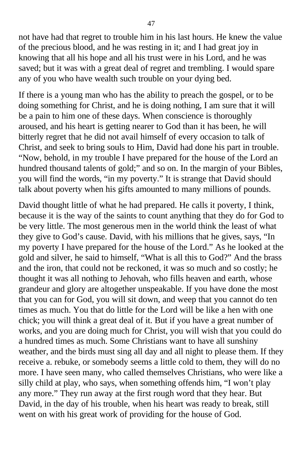not have had that regret to trouble him in his last hours. He knew the value of the precious blood, and he was resting in it; and I had great joy in knowing that all his hope and all his trust were in his Lord, and he was saved; but it was with a great deal of regret and trembling. I would spare any of you who have wealth such trouble on your dying bed.

If there is a young man who has the ability to preach the gospel, or to be doing something for Christ, and he is doing nothing, I am sure that it will be a pain to him one of these days. When conscience is thoroughly aroused, and his heart is getting nearer to God than it has been, he will bitterly regret that he did not avail himself of every occasion to talk of Christ, and seek to bring souls to Him, David had done his part in trouble. "Now, behold, in my trouble I have prepared for the house of the Lord an hundred thousand talents of gold;" and so on. In the margin of your Bibles, you will find the words, "in my poverty." It is strange that David should talk about poverty when his gifts amounted to many millions of pounds.

David thought little of what he had prepared. He calls it poverty, I think, because it is the way of the saints to count anything that they do for God to be very little. The most generous men in the world think the least of what they give to God's cause. David, with his millions that he gives, says, "In my poverty I have prepared for the house of the Lord." As he looked at the gold and silver, he said to himself, "What is all this to God?" And the brass and the iron, that could not be reckoned, it was so much and so costly; he thought it was all nothing to Jehovah, who fills heaven and earth, whose grandeur and glory are altogether unspeakable. If you have done the most that you can for God, you will sit down, and weep that you cannot do ten times as much. You that do little for the Lord will be like a hen with one chick; you will think a great deal of it. But if you have a great number of works, and you are doing much for Christ, you will wish that you could do a hundred times as much. Some Christians want to have all sunshiny weather, and the birds must sing all day and all night to please them. If they receive a. rebuke, or somebody seems a little cold to them, they will do no more. I have seen many, who called themselves Christians, who were like a silly child at play, who says, when something offends him, "I won't play any more." They run away at the first rough word that they hear. But David, in the day of his trouble, when his heart was ready to break, still went on with his great work of providing for the house of God.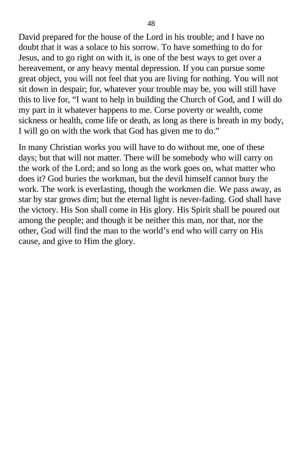David prepared for the house of the Lord in his trouble; and I have no doubt that it was a solace to his sorrow. To have something to do for Jesus, and to go right on with it, is one of the best ways to get over a bereavement, or any heavy mental depression. If you can pursue some great object, you will not feel that you are living for nothing. You will not sit down in despair; for, whatever your trouble may be, you will still have this to live for, "I want to help in building the Church of God, and I will do my part in it whatever happens to me. Corse poverty or wealth, come sickness or health, come life or death, as long as there is breath in my body, I will go on with the work that God has given me to do."

In many Christian works you will have to do without me, one of these days; but that will not matter. There will be somebody who will carry on the work of the Lord; and so long as the work goes on, what matter who does it? God buries the workman, but the devil himself cannot bury the work. The work is everlasting, though the workmen die. We pass away, as star by star grows dim; but the eternal light is never-fading. God shall have the victory. His Son shall come in His glory. His Spirit shall be poured out among the people; and though it be neither this man, nor that, nor the other, God will find the man to the world's end who will carry on His cause, and give to Him the glory.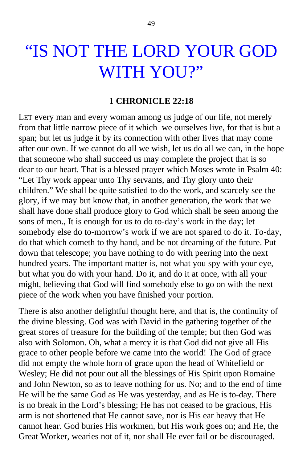## "IS NOT THE LORD YOUR GOD WITH YOU?"

#### **1 CHRONICLE 22:18**

LET every man and every woman among us judge of our life, not merely from that little narrow piece of it which we ourselves live, for that is but a span; but let us judge it by its connection with other lives that may come after our own. If we cannot do all we wish, let us do all we can, in the hope that someone who shall succeed us may complete the project that is so dear to our heart. That is a blessed prayer which Moses wrote in Psalm 40: "Let Thy work appear unto Thy servants, and Thy glory unto their children." We shall be quite satisfied to do the work, and scarcely see the glory, if we may but know that, in another generation, the work that we shall have done shall produce glory to God which shall be seen among the sons of men., It is enough for us to do to-day's work in the day; let somebody else do to-morrow's work if we are not spared to do it. To-day, do that which cometh to thy hand, and be not dreaming of the future. Put down that telescope; you have nothing to do with peering into the next hundred years. The important matter is, not what you spy with your eye, but what you do with your hand. Do it, and do it at once, with all your might, believing that God will find somebody else to go on with the next piece of the work when you have finished your portion.

There is also another delightful thought here, and that is, the continuity of the divine blessing. God was with David in the gathering together of the great stores of treasure for the building of the temple; but then God was also with Solomon. Oh, what a mercy it is that God did not give all His grace to other people before we came into the world! The God of grace did not empty the whole horn of grace upon the head of Whitefield or Wesley; He did not pour out all the blessings of His Spirit upon Romaine and John Newton, so as to leave nothing for us. No; and to the end of time He will be the same God as He was yesterday, and as He is to-day. There is no break in the Lord's blessing; He has not ceased to be gracious, His arm is not shortened that He cannot save, nor is His ear heavy that He cannot hear. God buries His workmen, but His work goes on; and He, the Great Worker, wearies not of it, nor shall He ever fail or be discouraged.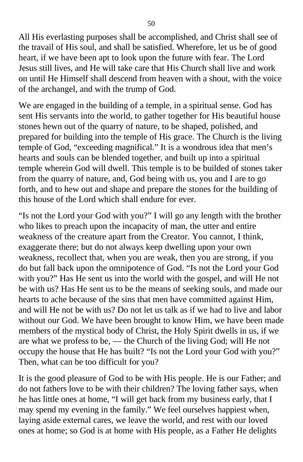All His everlasting purposes shall be accomplished, and Christ shall see of the travail of His soul, and shall be satisfied. Wherefore, let us be of good heart, if we have been apt to look upon the future with fear. The Lord Jesus still lives, and He will take care that His Church shall live and work on until He Himself shall descend from heaven with a shout, with the voice of the archangel, and with the trump of God.

We are engaged in the building of a temple, in a spiritual sense. God has sent His servants into the world, to gather together for His beautiful house stones hewn out of the quarry of nature, to be shaped, polished, and prepared for building into the temple of His grace. The Church is the living temple of God, "exceeding magnifical." It is a wondrous idea that men's hearts and souls can be blended together, and built up into a spiritual temple wherein God will dwell. This temple is to be builded of stones taker from the quarry of nature, and, God being with us, you and I are to go forth, and to hew out and shape and prepare the stones for the building of this house of the Lord which shall endure for ever.

"Is not the Lord your God with you?" I will go any length with the brother who likes to preach upon the incapacity of man, the utter and entire weakness of the creature apart from the Creator. You cannot, I think, exaggerate there; but do not always keep dwelling upon your own weakness, recollect that, when you are weak, then you are strong, if you do but fall back upon the omnipotence of God. "Is not the Lord your God with you?" Has He sent us into the world with the gospel, and will He not be with us? Has He sent us to be the means of seeking souls, and made our hearts to ache because of the sins that men have committed against Him, and will He not be with us? Do not let us talk as if we had to live and labor without our God. We have been brought to know Him, we have been made members of the mystical body of Christ, the Holy Spirit dwells in us, if we are what we profess to be, — the Church of the living God; will He not occupy the house that He has built? "Is not the Lord your God with you?" Then, what can be too difficult for you?

It is the good pleasure of God to be with His people. He is our Father; and do not fathers love to be with their children? The loving father says, when he has little ones at home, "I will get back from my business early, that I may spend my evening in the family." We feel ourselves happiest when, laying aside external cares, we leave the world, and rest with our loved ones at home; so God is at home with His people, as a Father He delights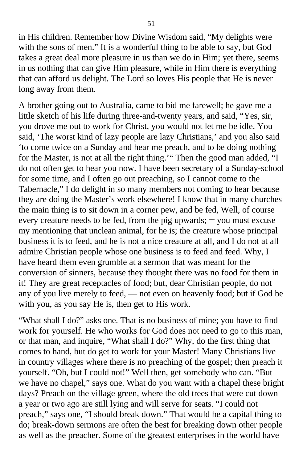in His children. Remember how Divine Wisdom said, "My delights were with the sons of men." It is a wonderful thing to be able to say, but God takes a great deal more pleasure in us than we do in Him; yet there, seems in us nothing that can give Him pleasure, while in Him there is everything that can afford us delight. The Lord so loves His people that He is never long away from them.

A brother going out to Australia, came to bid me farewell; he gave me a little sketch of his life during three-and-twenty years, and said, "Yes, sir, you drove me out to work for Christ, you would not let me be idle. You said, 'The worst kind of lazy people are lazy Christians,' and you also said 'to come twice on a Sunday and hear me preach, and to be doing nothing for the Master, is not at all the right thing.'" Then the good man added, "I do not often get to hear you now. I have been secretary of a Sunday-school for some time, and I often go out preaching, so I cannot come to the Tabernacle," I do delight in so many members not coming to hear because they are doing the Master's work elsewhere! I know that in many churches the main thing is to sit down in a corner pew, and be fed, Well, of course every creature needs to be fed, from the pig upwards;  $\overline{\phantom{a}}$  you must excuse my mentioning that unclean animal, for he is; the creature whose principal business it is to feed, and he is not a nice creature at all, and I do not at all admire Christian people whose one business is to feed and feed. Why, I have heard them even grumble at a sermon that was meant for the conversion of sinners, because they thought there was no food for them in it! They are great receptacles of food; but, dear Christian people, do not any of you live merely to feed, — not even on heavenly food; but if God be with you, as you say He is, then get to His work.

"What shall I do?" asks one. That is no business of mine; you have to find work for yourself. He who works for God does not need to go to this man, or that man, and inquire, "What shall I do?" Why, do the first thing that comes to hand, but do get to work for your Master! Many Christians live in country villages where there is no preaching of the gospel; then preach it yourself. "Oh, but I could not!" Well then, get somebody who can. "But we have no chapel," says one. What do you want with a chapel these bright days? Preach on the village green, where the old trees that were cut down a year or two ago are still lying and will serve for seats. "I could not preach," says one, "I should break down." That would be a capital thing to do; break-down sermons are often the best for breaking down other people as well as the preacher. Some of the greatest enterprises in the world have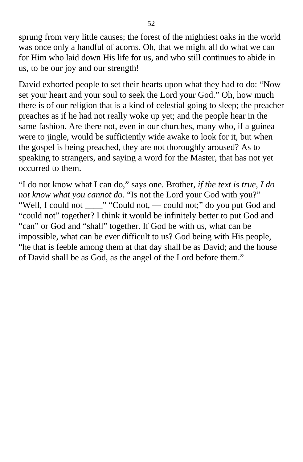sprung from very little causes; the forest of the mightiest oaks in the world was once only a handful of acorns. Oh, that we might all do what we can for Him who laid down His life for us, and who still continues to abide in us, to be our joy and our strength!

David exhorted people to set their hearts upon what they had to do: "Now set your heart and your soul to seek the Lord your God." Oh, how much there is of our religion that is a kind of celestial going to sleep; the preacher preaches as if he had not really woke up yet; and the people hear in the same fashion. Are there not, even in our churches, many who, if a guinea were to jingle, would be sufficiently wide awake to look for it, but when the gospel is being preached, they are not thoroughly aroused? As to speaking to strangers, and saying a word for the Master, that has not yet occurred to them.

"I do not know what I can do," says one. Brother, *if the text is true, I do not know what you cannot do.* "Is not the Lord your God with you?" "Well, I could not " "Could not, — could not;" do you put God and "could not" together? I think it would be infinitely better to put God and "can" or God and "shall" together. If God be with us, what can be impossible, what can be ever difficult to us? God being with His people, "he that is feeble among them at that day shall be as David; and the house of David shall be as God, as the angel of the Lord before them."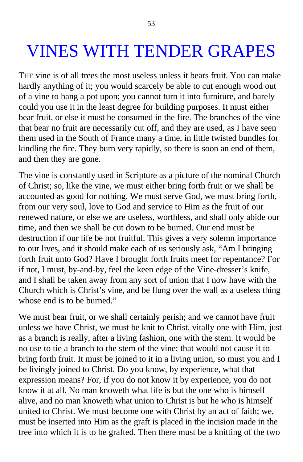## VINES WITH TENDER GRAPES

THE vine is of all trees the most useless unless it bears fruit. You can make hardly anything of it; you would scarcely be able to cut enough wood out of a vine to hang a pot upon; you cannot turn it into furniture, and barely could you use it in the least degree for building purposes. It must either bear fruit, or else it must be consumed in the fire. The branches of the vine that bear no fruit are necessarily cut off, and they are used, as I have seen them used in the South of France many a time, in little twisted bundles for kindling the fire. They burn very rapidly, so there is soon an end of them, and then they are gone.

The vine is constantly used in Scripture as a picture of the nominal Church of Christ; so, like the vine, we must either bring forth fruit or we shall be accounted as good for nothing. We must serve God, we must bring forth, from our very soul, love to God and service to Him as the fruit of our renewed nature, or else we are useless, worthless, and shall only abide our time, and then we shall be cut down to be burned. Our end must be destruction if our life be not fruitful. This gives a very solemn importance to our lives, and it should make each of us seriously ask, "Am I bringing forth fruit unto God? Have I brought forth fruits meet for repentance? For if not, I must, by-and-by, feel the keen edge of the Vine-dresser's knife, and I shall be taken away from any sort of union that I now have with the Church which is Christ's vine, and be flung over the wall as a useless thing whose end is to be burned."

We must bear fruit, or we shall certainly perish; and we cannot have fruit unless we have Christ, we must be knit to Christ, vitally one with Him, just as a branch is really, after a living fashion, one with the stem. It would be no use to tie a branch to the stem of the vine; that would not cause it to bring forth fruit. It must be joined to it in a living union, so must you and I be livingly joined to Christ. Do you know, by experience, what that expression means? For, if you do not know it by experience, you do not know it at all. No man knoweth what life is but the one who is himself alive, and no man knoweth what union to Christ is but he who is himself united to Christ. We must become one with Christ by an act of faith; we, must be inserted into Him as the graft is placed in the incision made in the tree into which it is to be grafted. Then there must be a knitting of the two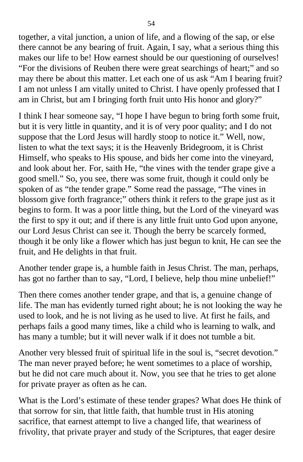together, a vital junction, a union of life, and a flowing of the sap, or else there cannot be any bearing of fruit. Again, I say, what a serious thing this makes our life to be! How earnest should be our questioning of ourselves! "For the divisions of Reuben there were great searchings of heart;" and so may there be about this matter. Let each one of us ask "Am I bearing fruit? I am not unless I am vitally united to Christ. I have openly professed that I am in Christ, but am I bringing forth fruit unto His honor and glory?"

I think I hear someone say, "I hope I have begun to bring forth some fruit, but it is very little in quantity, and it is of very poor quality; and I do not suppose that the Lord Jesus will hardly stoop to notice it." Well, now, listen to what the text says; it is the Heavenly Bridegroom, it is Christ Himself, who speaks to His spouse, and bids her come into the vineyard, and look about her. For, saith He, "the vines with the tender grape give a good smell." So, you see, there was some fruit, though it could only be spoken of as "the tender grape." Some read the passage, "The vines in blossom give forth fragrance;" others think it refers to the grape just as it begins to form. It was a poor little thing, but the Lord of the vineyard was the first to spy it out; and if there is any little fruit unto God upon anyone, our Lord Jesus Christ can see it. Though the berry be scarcely formed, though it be only like a flower which has just begun to knit, He can see the fruit, and He delights in that fruit.

Another tender grape is, a humble faith in Jesus Christ. The man, perhaps, has got no farther than to say, "Lord, I believe, help thou mine unbelief!"

Then there comes another tender grape, and that is, a genuine change of life. The man has evidently turned right about; he is not looking the way he used to look, and he is not living as he used to live. At first he fails, and perhaps fails a good many times, like a child who is learning to walk, and has many a tumble; but it will never walk if it does not tumble a bit.

Another very blessed fruit of spiritual life in the soul is, "secret devotion." The man never prayed before; he went sometimes to a place of worship, but he did not care much about it. Now, you see that he tries to get alone for private prayer as often as he can.

What is the Lord's estimate of these tender grapes? What does He think of that sorrow for sin, that little faith, that humble trust in His atoning sacrifice, that earnest attempt to live a changed life, that weariness of frivolity, that private prayer and study of the Scriptures, that eager desire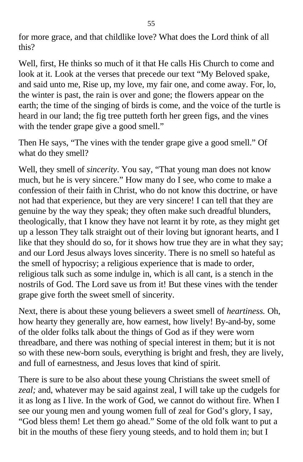for more grace, and that childlike love? What does the Lord think of all this?

Well, first, He thinks so much of it that He calls His Church to come and look at it. Look at the verses that precede our text "My Beloved spake, and said unto me, Rise up, my love, my fair one, and come away. For, lo, the winter is past, the rain is over and gone; the flowers appear on the earth; the time of the singing of birds is come, and the voice of the turtle is heard in our land; the fig tree putteth forth her green figs, and the vines with the tender grape give a good smell."

Then He says, "The vines with the tender grape give a good smell." Of what do they smell?

Well, they smell of *sincerity*. You say, "That young man does not know much, but he is very sincere." How many do I see, who come to make a confession of their faith in Christ, who do not know this doctrine, or have not had that experience, but they are very sincere! I can tell that they are genuine by the way they speak; they often make such dreadful blunders, theologically, that I know they have not learnt it by rote, as they might get up a lesson They talk straight out of their loving but ignorant hearts, and I like that they should do so, for it shows how true they are in what they say; and our Lord Jesus always loves sincerity. There is no smell so hateful as the smell of hypocrisy; a religious experience that is made to order, religious talk such as some indulge in, which is all cant, is a stench in the nostrils of God. The Lord save us from it! But these vines with the tender grape give forth the sweet smell of sincerity.

Next, there is about these young believers a sweet smell of *heartiness.* Oh, how hearty they generally are, how earnest, how lively! By-and-by, some of the older folks talk about the things of God as if they were worn threadbare, and there was nothing of special interest in them; but it is not so with these new-born souls, everything is bright and fresh, they are lively, and full of earnestness, and Jesus loves that kind of spirit.

There is sure to be also about these young Christians the sweet smell of *zeal;* and, whatever may be said against zeal, I will take up the cudgels for it as long as I live. In the work of God, we cannot do without fire. When I see our young men and young women full of zeal for God's glory, I say, "God bless them! Let them go ahead." Some of the old folk want to put a bit in the mouths of these fiery young steeds, and to hold them in; but I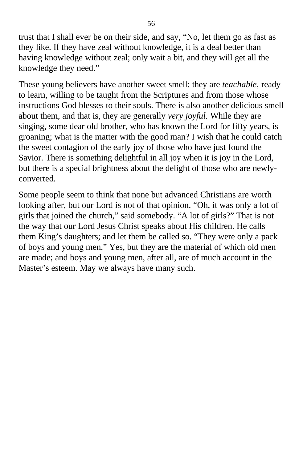trust that I shall ever be on their side, and say, "No, let them go as fast as they like. If they have zeal without knowledge, it is a deal better than having knowledge without zeal; only wait a bit, and they will get all the knowledge they need."

These young believers have another sweet smell: they are *teachable,* ready to learn, willing to be taught from the Scriptures and from those whose instructions God blesses to their souls. There is also another delicious smell about them, and that is, they are generally *very joyful.* While they are singing, some dear old brother, who has known the Lord for fifty years, is groaning; what is the matter with the good man? I wish that he could catch the sweet contagion of the early joy of those who have just found the Savior. There is something delightful in all joy when it is joy in the Lord, but there is a special brightness about the delight of those who are newlyconverted.

Some people seem to think that none but advanced Christians are worth looking after, but our Lord is not of that opinion. "Oh, it was only a lot of girls that joined the church," said somebody. "A lot of girls?" That is not the way that our Lord Jesus Christ speaks about His children. He calls them King's daughters; and let them be called so. "They were only a pack of boys and young men." Yes, but they are the material of which old men are made; and boys and young men, after all, are of much account in the Master's esteem. May we always have many such.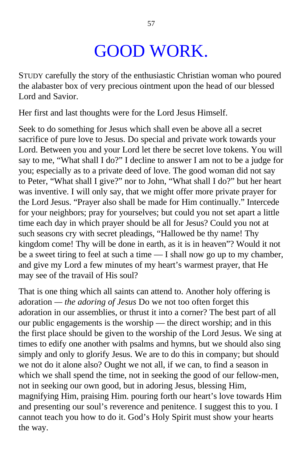# GOOD WORK.

STUDY carefully the story of the enthusiastic Christian woman who poured the alabaster box of very precious ointment upon the head of our blessed Lord and Savior.

Her first and last thoughts were for the Lord Jesus Himself.

Seek to do something for Jesus which shall even be above all a secret sacrifice of pure love to Jesus. Do special and private work towards your Lord. Between you and your Lord let there be secret love tokens. You will say to me, "What shall I do?" I decline to answer I am not to be a judge for you; especially as to a private deed of love. The good woman did not say to Peter, "What shall I give?" nor to John, "What shall I do?" but her heart was inventive. I will only say, that we might offer more private prayer for the Lord Jesus. "Prayer also shall be made for Him continually." Intercede for your neighbors; pray for yourselves; but could you not set apart a little time each day in which prayer should be all for Jesus? Could you not at such seasons cry with secret pleadings, "Hallowed be thy name! Thy kingdom come! Thy will be done in earth, as it is in heaven"? Would it not be a sweet tiring to feel at such a time — I shall now go up to my chamber, and give my Lord a few minutes of my heart's warmest prayer, that He may see of the travail of His soul?

That is one thing which all saints can attend to. Another holy offering is adoration *— the adoring of Jesus* Do we not too often forget this adoration in our assemblies, or thrust it into a corner? The best part of all our public engagements is the worship — the direct worship; and in this the first place should be given to the worship of the Lord Jesus. We sing at times to edify one another with psalms and hymns, but we should also sing simply and only to glorify Jesus. We are to do this in company; but should we not do it alone also? Ought we not all, if we can, to find a season in which we shall spend the time, not in seeking the good of our fellow-men, not in seeking our own good, but in adoring Jesus, blessing Him, magnifying Him, praising Him. pouring forth our heart's love towards Him and presenting our soul's reverence and penitence. I suggest this to you. I cannot teach you how to do it. God's Holy Spirit must show your hearts the way.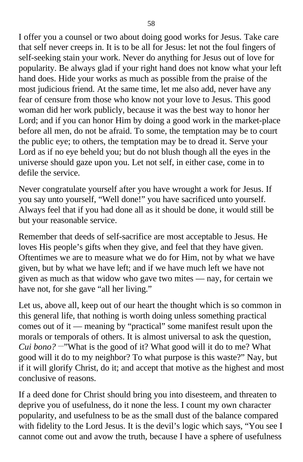I offer you a counsel or two about doing good works for Jesus. Take care that self never creeps in. It is to be all for Jesus: let not the foul fingers of self-seeking stain your work. Never do anything for Jesus out of love for popularity. Be always glad if your right hand does not know what your left hand does. Hide your works as much as possible from the praise of the most judicious friend. At the same time, let me also add, never have any fear of censure from those who know not your love to Jesus. This good woman did her work publicly, because it was the best way to honor her Lord; and if you can honor Him by doing a good work in the market-place before all men, do not be afraid. To some, the temptation may be to court the public eye; to others, the temptation may be to dread it. Serve your Lord as if no eye beheld you; but do not blush though all the eyes in the universe should gaze upon you. Let not self, in either case, come in to defile the service.

Never congratulate yourself after you have wrought a work for Jesus. If you say unto yourself, "Well done!" you have sacrificed unto yourself. Always feel that if you had done all as it should be done, it would still be but your reasonable service.

Remember that deeds of self-sacrifice are most acceptable to Jesus. He loves His people's gifts when they give, and feel that they have given. Oftentimes we are to measure what we do for Him, not by what we have given, but by what we have left; and if we have much left we have not given as much as that widow who gave two mites — nay, for certain we have not, for she gave "all her living."

Let us, above all, keep out of our heart the thought which is so common in this general life, that nothing is worth doing unless something practical comes out of it — meaning by "practical" some manifest result upon the morals or temporals of others. It is almost universal to ask the question, *Cui bono?* — "What is the good of it? What good will it do to me? What good will it do to my neighbor? To what purpose is this waste?" Nay, but if it will glorify Christ, do it; and accept that motive as the highest and most conclusive of reasons.

If a deed done for Christ should bring you into disesteem, and threaten to deprive you of usefulness, do it none the less. I count my own character popularity, and usefulness to be as the small dust of the balance compared with fidelity to the Lord Jesus. It is the devil's logic which says, "You see I cannot come out and avow the truth, because I have a sphere of usefulness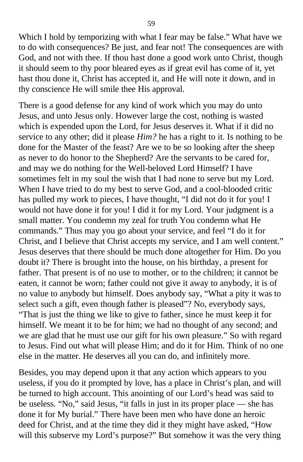Which I hold by temporizing with what I fear may be false." What have we to do with consequences? Be just, and fear not! The consequences are with God, and not with thee. If thou hast done a good work unto Christ, though it should seem to thy poor bleared eyes as if great evil has come of it, yet hast thou done it, Christ has accepted it, and He will note it down, and in thy conscience He will smile thee His approval.

There is a good defense for any kind of work which you may do unto Jesus, and unto Jesus only. However large the cost, nothing is wasted which is expended upon the Lord, for Jesus deserves it. What if it did no service to any other; did it please *Him?* he has a right to it. Is nothing to be done for the Master of the feast? Are we to be so looking after the sheep as never to do honor to the Shepherd? Are the servants to be cared for, and may we do nothing for the Well-beloved Lord Himself? I have sometimes felt in my soul the wish that I had none to serve but my Lord. When I have tried to do my best to serve God, and a cool-blooded critic has pulled my work to pieces, I have thought, "I did not do it for you! I would not have done it for you! I did it for my Lord. Your judgment is a small matter. You condemn my zeal for truth You condemn what He commands." Thus may you go about your service, and feel "I do it for Christ, and I believe that Christ accepts my service, and I am well content." Jesus deserves that there should be much done altogether for Him. Do you doubt it? There is brought into the house, on his birthday, a present for father. That present is of no use to mother, or to the children; it cannot be eaten, it cannot be worn; father could not give it away to anybody, it is of no value to anybody but himself. Does anybody say, "What a pity it was to select such a gift, even though father is pleased"? No, everybody says, "That is just the thing we like to give to father, since he must keep it for himself. We meant it to be for him; we had no thought of any second; and we are glad that he must use our gift for his own pleasure." So with regard to Jesus. Find out what will please Him; and do it for Him. Think of no one else in the matter. He deserves all you can do, and infinitely more.

Besides, you may depend upon it that any action which appears to you useless, if you do it prompted by love, has a place in Christ's plan, and will be turned to high account. This anointing of our Lord's head was said to be useless. "No," said Jesus, "it falls in just in its proper place — she has done it for My burial." There have been men who have done an heroic deed for Christ, and at the time they did it they might have asked, "How will this subserve my Lord's purpose?" But somehow it was the very thing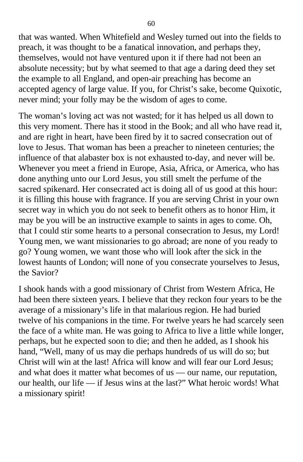that was wanted. When Whitefield and Wesley turned out into the fields to preach, it was thought to be a fanatical innovation, and perhaps they, themselves, would not have ventured upon it if there had not been an absolute necessity; but by what seemed to that age a daring deed they set the example to all England, and open-air preaching has become an accepted agency of large value. If you, for Christ's sake, become Quixotic, never mind; your folly may be the wisdom of ages to come.

The woman's loving act was not wasted; for it has helped us all down to this very moment. There has it stood in the Book; and all who have read it, and are right in heart, have been fired by it to sacred consecration out of love to Jesus. That woman has been a preacher to nineteen centuries; the influence of that alabaster box is not exhausted to-day, and never will be. Whenever you meet a friend in Europe, Asia, Africa, or America, who has done anything unto our Lord Jesus, you still smelt the perfume of the sacred spikenard. Her consecrated act is doing all of us good at this hour: it is filling this house with fragrance. If you are serving Christ in your own secret way in which you do not seek to benefit others as to honor Him, it may be you will be an instructive example to saints in ages to come. Oh, that I could stir some hearts to a personal consecration to Jesus, my Lord! Young men, we want missionaries to go abroad; are none of you ready to go? Young women, we want those who will look after the sick in the lowest haunts of London; will none of you consecrate yourselves to Jesus, the Savior?

I shook hands with a good missionary of Christ from Western Africa, He had been there sixteen years. I believe that they reckon four years to be the average of a missionary's life in that malarious region. He had buried twelve of his companions in the time. For twelve years he had scarcely seen the face of a white man. He was going to Africa to live a little while longer, perhaps, but he expected soon to die; and then he added, as I shook his hand, "Well, many of us may die perhaps hundreds of us will do so; but Christ will win at the last! Africa will know and will fear our Lord Jesus; and what does it matter what becomes of us — our name, our reputation, our health, our life — if Jesus wins at the last?" What heroic words! What a missionary spirit!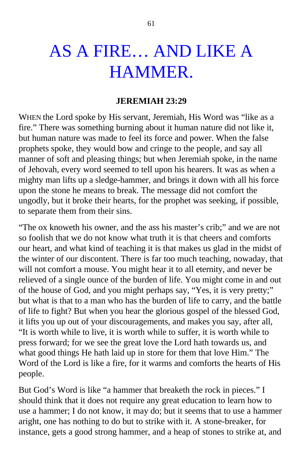## AS A FIRE… AND LIKE A HAMMER.

#### **JEREMIAH 23:29**

WHEN the Lord spoke by His servant, Jeremiah, His Word was "like as a fire." There was something burning about it human nature did not like it, but human nature was made to feel its force and power. When the false prophets spoke, they would bow and cringe to the people, and say all manner of soft and pleasing things; but when Jeremiah spoke, in the name of Jehovah, every word seemed to tell upon his hearers. It was as when a mighty man lifts up a sledge-hammer, and brings it down with all his force upon the stone he means to break. The message did not comfort the ungodly, but it broke their hearts, for the prophet was seeking, if possible, to separate them from their sins.

"The ox knoweth his owner, and the ass his master's crib;" and we are not so foolish that we do not know what truth it is that cheers and comforts our heart, and what kind of teaching it is that makes us glad in the midst of the winter of our discontent. There is far too much teaching, nowaday, that will not comfort a mouse. You might hear it to all eternity, and never be relieved of a single ounce of the burden of life. You might come in and out of the house of God, and you might perhaps say, "Yes, it is very pretty;" but what is that to a man who has the burden of life to carry, and the battle of life to fight? But when you hear the glorious gospel of the blessed God, it lifts you up out of your discouragements, and makes you say, after all, "It is worth while to live, it is worth while to suffer, it is worth while to press forward; for we see the great love the Lord hath towards us, and what good things He hath laid up in store for them that love Him." The Word of the Lord is like a fire, for it warms and comforts the hearts of His people.

But God's Word is like "a hammer that breaketh the rock in pieces." I should think that it does not require any great education to learn how to use a hammer; I do not know, it may do; but it seems that to use a hammer aright, one has nothing to do but to strike with it. A stone-breaker, for instance, gets a good strong hammer, and a heap of stones to strike at, and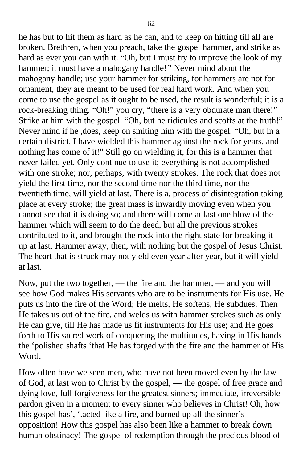he has but to hit them as hard as he can, and to keep on hitting till all are broken. Brethren, when you preach, take the gospel hammer, and strike as hard as ever you can with it. "Oh, but I must try to improve the look of my hammer; it must have a mahogany handle!*"* Never mind about the mahogany handle; use your hammer for striking, for hammers are not for ornament, they are meant to be used for real hard work. And when you come to use the gospel as it ought to be used, the result is wonderful; it is a rock-breaking thing. "Oh!" you cry, "there is a very obdurate man there!" Strike at him with the gospel. "Oh, but he ridicules and scoffs at the truth!" Never mind if he ,does, keep on smiting him with the gospel. "Oh, but in a certain district, I have wielded this hammer against the rock for years, and nothing has come of it!" Still go on wielding it, for this is a hammer that never failed yet. Only continue to use it; everything is not accomplished with one stroke; nor, perhaps, with twenty strokes. The rock that does not yield the first time, nor the second time nor the third time, nor the twentieth time, will yield at last. There is a, process of disintegration taking place at every stroke; the great mass is inwardly moving even when you cannot see that it is doing so; and there will come at last one blow of the hammer which will seem to do the deed, but all the previous strokes contributed to it, and brought the rock into the right state for breaking it up at last. Hammer away, then, with nothing but the gospel of Jesus Christ. The heart that is struck may not yield even year after year, but it will yield at last.

Now, put the two together, — the fire and the hammer, — and you will see how God makes His servants who are to be instruments for His use. He puts us into the fire of the Word; He melts, He softens, He subdues. Then He takes us out of the fire, and welds us with hammer strokes such as only He can give, till He has made us fit instruments for His use; and He goes forth to His sacred work of conquering the multitudes, having in His hands the 'polished shafts 'that He has forged with the fire and the hammer of His Word.

How often have we seen men, who have not been moved even by the law of God, at last won to Christ by the gospel, — the gospel of free grace and dying love, full forgiveness for the greatest sinners; immediate, irreversible pardon given in a moment to every sinner who believes in Christ! Oh, how this gospel has', '.acted like a fire, and burned up all the sinner's opposition! How this gospel has also been like a hammer to break down human obstinacy! The gospel of redemption through the precious blood of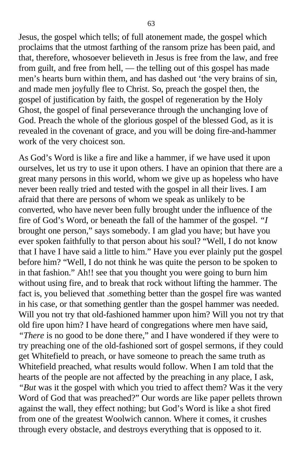Jesus, the gospel which tells; of full atonement made, the gospel which proclaims that the utmost farthing of the ransom prize has been paid, and that, therefore, whosoever believeth in Jesus is free from the law, and free from guilt, and free from hell, — the telling out of this gospel has made men's hearts burn within them, and has dashed out 'the very brains of sin, and made men joyfully flee to Christ. So, preach the gospel then, the gospel of justification by faith, the gospel of regeneration by the Holy Ghost, the gospel of final perseverance through the unchanging love of God. Preach the whole of the glorious gospel of the blessed God, as it is revealed in the covenant of grace, and you will be doing fire-and-hammer work of the very choicest son.

As God's Word is like a fire and like a hammer, if we have used it upon ourselves, let us try to use it upon others. I have an opinion that there are a great many persons in this world, whom we give up as hopeless who have never been really tried and tested with the gospel in all their lives. I am afraid that there are persons of whom we speak as unlikely to be converted, who have never been fully brought under the influence of the fire of God's Word, or beneath the fall of the hammer of the gospel. *"I* brought one person," says somebody. I am glad you have; but have you ever spoken faithfully to that person about his soul? "Well, I do not know that I have I have said a little to him." Have you ever plainly put the gospel before him? "Well, I do not think he was quite the person to be spoken to in that fashion." Ah!! see that you thought you were going to burn him without using fire, and to break that rock without lifting the hammer. The fact is, you believed that .something better than the gospel fire was wanted in his case, or that something gentler than the gospel hammer was needed. Will you not try that old-fashioned hammer upon him? Will you not try that old fire upon him? I have heard of congregations where men have said, *"There* is no good to be done there," and I have wondered if they were to try preaching one of the old-fashioned sort of gospel sermons, if they could get Whitefield to preach, or have someone to preach the same truth as Whitefield preached, what results would follow. When I am told that the hearts of the people are not affected by the preaching in any place, I ask, *"But* was it the gospel with which you tried to affect them? Was it the very Word of God that was preached?" Our words are like paper pellets thrown against the wall, they effect nothing; but God's Word is like a shot fired from one of the greatest Woolwich cannon. Where it comes, it crushes through every obstacle, and destroys everything that is opposed to it.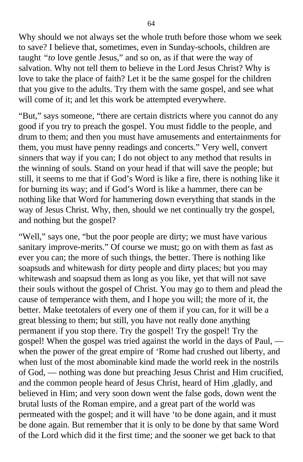Why should we not always set the whole truth before those whom we seek to save? I believe that, sometimes, even in Sunday-schools, children are taught *"to* love gentle Jesus," and so on, as if that were the way of salvation. Why not tell them to believe in the Lord Jesus Christ? Why is love to take the place of faith? Let it be the same gospel for the children that you give to the adults. Try them with the same gospel, and see what will come of it; and let this work be attempted everywhere.

"But," says someone, "there are certain districts where you cannot do any good if you try to preach the gospel. You must fiddle to the people, and drum to them; and then you must have amusements and entertainments for them, you must have penny readings and concerts." Very well, convert sinners that way if you can; I do not object to any method that results in the winning of souls. Stand on your head if that will save the people; but still, it seems to me that if God's Word is like a fire, there is nothing like it for burning its way; and if God's Word is like a hammer, there can be nothing like that Word for hammering down everything that stands in the way of Jesus Christ. Why, then, should we net continually try the gospel, and nothing but the gospel?

"Well," says one, "but the poor people are dirty; we must have various sanitary improve-merits." Of course we must; go on with them as fast as ever you can; the more of such things, the better. There is nothing like soapsuds and whitewash for dirty people and dirty places; but you may whitewash and soapsud them as long as you like, yet that will not save their souls without the gospel of Christ. You may go to them and plead the cause of temperance with them, and I hope you will; the more of it, the better. Make teetotalers of every one of them if you can, for it will be a great blessing to them; but still, you have not really done anything permanent if you stop there. Try the gospel! Try the gospel! Try the gospel! When the gospel was tried against the world in the days of Paul, when the power of the great empire of 'Rome had crushed out liberty, and when lust of the most abominable kind made the world reek in the nostrils of God, — nothing was done but preaching Jesus Christ and Him crucified, and the common people heard of Jesus Christ, heard of Him ,gladly, and believed in Him; and very soon down went the false gods, down went the brutal lusts of the Roman empire, and a great part of the world was permeated with the gospel; and it will have 'to be done again, and it must be done again. But remember that it is only to be done by that same Word of the Lord which did it the first time; and the sooner we get back to that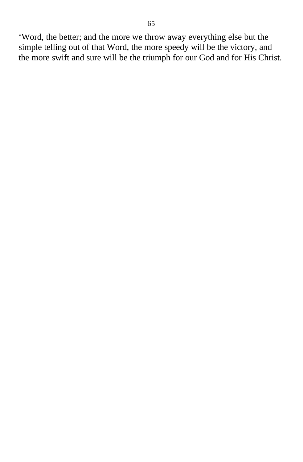'Word, the better; and the more we throw away everything else but the simple telling out of that Word, the more speedy will be the victory, and the more swift and sure will be the triumph for our God and for His Christ.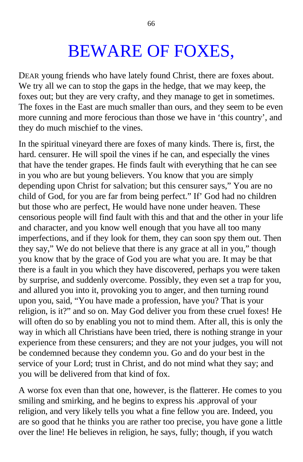## BEWARE OF FOXES,

DEAR young friends who have lately found Christ, there are foxes about. We try all we can to stop the gaps in the hedge, that we may keep, the foxes out; but they are very crafty, and they manage to get in sometimes. The foxes in the East are much smaller than ours, and they seem to be even more cunning and more ferocious than those we have in 'this country', and they do much mischief to the vines.

In the spiritual vineyard there are foxes of many kinds. There is, first, the hard. censurer. He will spoil the vines if he can, and especially the vines that have the tender grapes. He finds fault with everything that he can see in you who are but young believers. You know that you are simply depending upon Christ for salvation; but this censurer says," You are no child of God, for you are far from being perfect." If' God had no children but those who are perfect, He would have none under heaven. These censorious people will find fault with this and that and the other in your life and character, and you know well enough that you have all too many imperfections, and if they look for them, they can soon spy them out. Then they say," We do not believe that there is any grace at all in you," though you know that by the grace of God you are what you are. It may be that there is a fault in you which they have discovered, perhaps you were taken by surprise, and suddenly overcome. Possibly, they even set a trap for you, and allured you into it, provoking you to anger, and then turning round upon you, said, "You have made a profession, have you? That is your religion, is it?" and so on. May God deliver you from these cruel foxes! He will often do so by enabling you not to mind them. After all, this is only the way in which all Christians have been tried, there is nothing strange in your experience from these censurers; and they are not your judges, you will not be condemned because they condemn you. Go and do your best in the service of your Lord; trust in Christ, and do not mind what they say; and you will be delivered from that kind of fox.

A worse fox even than that one, however, is the flatterer. He comes to you smiling and smirking, and he begins to express his .approval of your religion, and very likely tells you what a fine fellow you are. Indeed, you are so good that he thinks you are rather too precise, you have gone a little over the line! He believes in religion, he says, fully; though, if you watch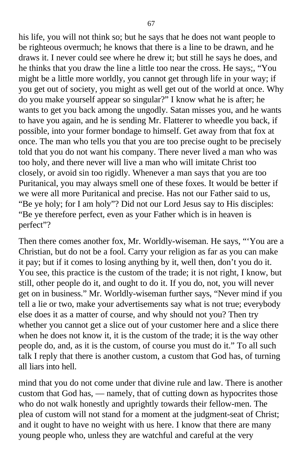his life, you will not think so; but he says that he does not want people to be righteous overmuch; he knows that there is a line to be drawn, and he draws it. I never could see where he drew it; but still he says he does, and he thinks that you draw the line a little too near the cross. He says;, "You might be a little more worldly, you cannot get through life in your way; if you get out of society, you might as well get out of the world at once. Why do you make yourself appear so singular?" I know what he is after; he wants to get you back among the ungodly. Satan misses you, and he wants to have you again, and he is sending Mr. Flatterer to wheedle you back, if possible, into your former bondage to himself. Get away from that fox at once. The man who tells you that you are too precise ought to be precisely told that you do not want his company. There never lived a man who was too holy, and there never will live a man who will imitate Christ too closely, or avoid sin too rigidly. Whenever a man says that you are too Puritanical, you may always smell one of these foxes. It would be better if we were all more Puritanical and precise. Has not our Father said to us, "Be ye holy; for I am holy"? Did not our Lord Jesus say to His disciples: "Be ye therefore perfect, even as your Father which is in heaven is perfect"?

Then there comes another fox, Mr. Worldly-wiseman. He says, "'You are a Christian, but do not be a fool. Carry your religion as far as you can make it pay; but if it comes to losing anything by it, well then, don't you do it. You see, this practice is the custom of the trade; it is not right, I know, but still, other people do it, and ought to do it. If you do, not, you will never get on in business." Mr. Worldly-wiseman further says, "Never mind if you tell a lie or two, make your advertisements say what is not true; everybody else does it as a matter of course, and why should not you? Then try whether you cannot get a slice out of your customer here and a slice there when he does not know it, it is the custom of the trade; it is the way other people do, and, as it is the custom, of course you must do it." To all such talk I reply that there is another custom, a custom that God has, of turning all liars into hell.

mind that you do not come under that divine rule and law. There is another custom that God has, — namely, that of cutting down as hypocrites those who do not walk honestly and uprightly towards their fellow-men. The plea of custom will not stand for a moment at the judgment-seat of Christ; and it ought to have no weight with us here. I know that there are many young people who, unless they are watchful and careful at the very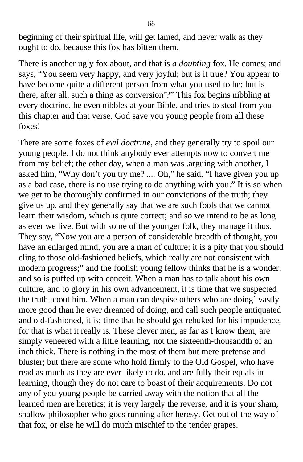beginning of their spiritual life, will get lamed, and never walk as they ought to do, because this fox has bitten them.

There is another ugly fox about, and that is *a doubting* fox. He comes; and says, "You seem very happy, and very joyful; but is it true? You appear to have become quite a different person from what you used to be; but is there, after all, such a thing as conversion'?" This fox begins nibbling at every doctrine, he even nibbles at your Bible, and tries to steal from you this chapter and that verse. God save you young people from all these foxes!

There are some foxes of *evil doctrine,* and they generally try to spoil our young people. I do not think anybody ever attempts now to convert me from my belief; the other day, when a man was .arguing with another, I asked him, "Why don't you try me? .... Oh," he said, "I have given you up as a bad case, there is no use trying to do anything with you." It is so when we get to be thoroughly confirmed in our convictions of the truth; they give us up, and they generally say that we are such fools that we cannot learn their wisdom, which is quite correct; and so we intend to be as long as ever we live. But with some of the younger folk, they manage it thus. They say, "Now you are a person of considerable breadth of thought, you have an enlarged mind, you are a man of culture; it is a pity that you should cling to those old-fashioned beliefs, which really are not consistent with modern progress;" and the foolish young fellow thinks that he is a wonder, and so is puffed up with conceit. When a man has to talk about his own culture, and to glory in his own advancement, it is time that we suspected the truth about him. When a man can despise others who are doing' vastly more good than he ever dreamed of doing, and call such people antiquated and old-fashioned, it is; time that he should get rebuked for his impudence, for that is what it really is. These clever men, as far as I know them, are simply veneered with a little learning, not the sixteenth-thousandth of an inch thick. There is nothing in the most of them but mere pretense and bluster; but there are some who hold firmly to the Old Gospel, who have read as much as they are ever likely to do, and are fully their equals in learning, though they do not care to boast of their acquirements. Do not any of you young people be carried away with the notion that all the learned men are heretics; it is very largely the reverse, and it is your sham, shallow philosopher who goes running after heresy. Get out of the way of that fox, or else he will do much mischief to the tender grapes.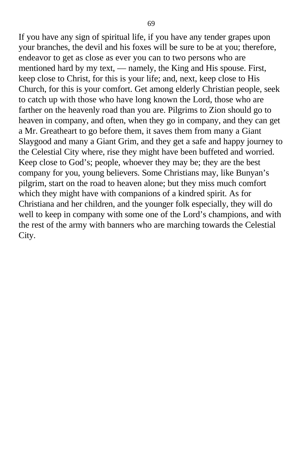If you have any sign of spiritual life, if you have any tender grapes upon your branches, the devil and his foxes will be sure to be at you; therefore, endeavor to get as close as ever you can to two persons who are mentioned hard by my text, — namely, the King and His spouse. First, keep close to Christ, for this is your life; and, next, keep close to His Church, for this is your comfort. Get among elderly Christian people, seek to catch up with those who have long known the Lord, those who are farther on the heavenly road than you are. Pilgrims to Zion should go to heaven in company, and often, when they go in company, and they can get a Mr. Greatheart to go before them, it saves them from many a Giant Slaygood and many a Giant Grim, and they get a safe and happy journey to the Celestial City where, rise they might have been buffeted and worried. Keep close to God's; people, whoever they may be; they are the best company for you, young believers. Some Christians may, like Bunyan's pilgrim, start on the road to heaven alone; but they miss much comfort which they might have with companions of a kindred spirit. As for Christiana and her children, and the younger folk especially, they will do well to keep in company with some one of the Lord's champions, and with the rest of the army with banners who are marching towards the Celestial City.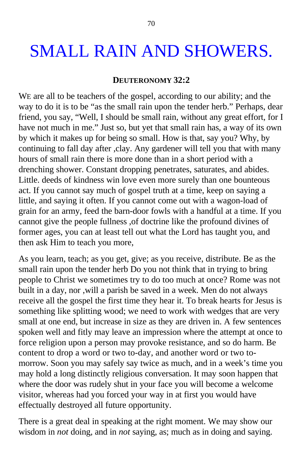### SMALL RAIN AND SHOWERS.

#### **DEUTERONOMY 32:2**

WE are all to be teachers of the gospel, according to our ability; and the way to do it is to be "as the small rain upon the tender herb." Perhaps, dear friend, you say, "Well, I should be small rain, without any great effort, for I have not much in me." Just so, but yet that small rain has, a way of its own by which it makes up for being so small. How is that, say you? Why, by continuing to fall day after ,clay. Any gardener will tell you that with many hours of small rain there is more done than in a short period with a drenching shower. Constant dropping penetrates, saturates, and abides. Little. deeds of kindness win love even more surely than one bounteous act. If you cannot say much of gospel truth at a time, keep on saying a little, and saying it often. If you cannot come out with a wagon-load of grain for an army, feed the barn-door fowls with a handful at a time. If you cannot give the people fullness ,of doctrine like the profound divines of former ages, you can at least tell out what the Lord has taught you, and then ask Him to teach you more,

As you learn, teach; as you get, give; as you receive, distribute. Be as the small rain upon the tender herb Do you not think that in trying to bring people to Christ we sometimes try to do too much at once? Rome was not built in a day, nor ,will a parish be saved in a week. Men do not always receive all the gospel the first time they hear it. To break hearts for Jesus is something like splitting wood; we need to work with wedges that are very small at one end, but increase in size as they are driven in. A few sentences spoken well and fitly may leave an impression where the attempt at once to force religion upon a person may provoke resistance, and so do harm. Be content to drop a word or two to-day, and another word or two tomorrow. Soon you may safely say twice as much, and in a week's time you may hold a long distinctly religious conversation. It may soon happen that where the door was rudely shut in your face you will become a welcome visitor, whereas had you forced your way in at first you would have effectually destroyed all future opportunity.

There is a great deal in speaking at the right moment. We may show our wisdom in *not* doing, and in *not* saying, as; much as in doing and saying.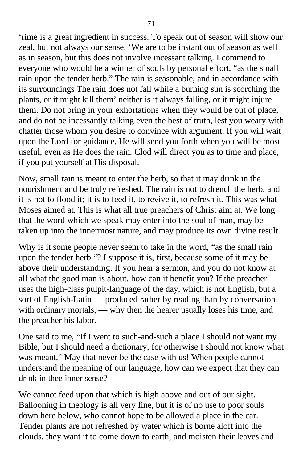'rime is a great ingredient in success. To speak out of season will show our zeal, but not always our sense. 'We are to be instant out of season as well as in season, but this does not involve incessant talking. I commend to everyone who would be a winner of souls by personal effort, "as the small rain upon the tender herb." The rain is seasonable, and in accordance with its surroundings The rain does not fall while a burning sun is scorching the plants, or it might kill them' neither is it always falling, or it might injure them. Do not bring in your exhortations when they would be out of place, and do not be incessantly talking even the best of truth, lest you weary with chatter those whom you desire to convince with argument. If you will wait upon the Lord for guidance, He will send you forth when you will be most useful, even as He does the rain. Clod will direct you as to time and place, if you put yourself at His disposal.

Now, small rain is meant to enter the herb, so that it may drink in the nourishment and be truly refreshed. The rain is not to drench the herb, and it is not to flood it; it is to feed it, to revive it, to refresh it. This was what Moses aimed at. This is what all true preachers of Christ aim at. We long that the word which we speak may enter into the soul of man, may be taken up into the innermost nature, and may produce its own divine result.

Why is it some people never seem to take in the word, "as the small rain upon the tender herb "? I suppose it is, first, because some of it may be above their understanding. If you hear a sermon, and you do not know at all what the good man is about, how can it benefit you? If the preacher uses the high-class pulpit-language of the day, which is not English, but a sort of English-Latin — produced rather by reading than by conversation with ordinary mortals, — why then the hearer usually loses his time, and the preacher his labor.

One said to me, "If I went to such-and-such a place I should not want my Bible, but I should need a dictionary, for otherwise I should not know what was meant." May that never be the case with us! When people cannot understand the meaning of our language, how can we expect that they can drink in thee inner sense?

We cannot feed upon that which is high above and out of our sight. Ballooning in theology is all very fine, but it is of no use to poor souls down here below, who cannot hope to be allowed a place in the car. Tender plants are not refreshed by water which is borne aloft into the clouds, they want it to come down to earth, and moisten their leaves and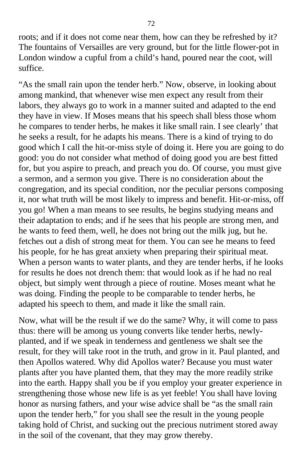roots; and if it does not come near them, how can they be refreshed by it? The fountains of Versailles are very ground, but for the little flower-pot in London window a cupful from a child's hand, poured near the coot, will suffice.

"As the small rain upon the tender herb." Now, observe, in looking about among mankind, that whenever wise men expect any result from their labors, they always go to work in a manner suited and adapted to the end they have in view. If Moses means that his speech shall bless those whom he compares to tender herbs, he makes it like small rain. I see clearly' that he seeks a result, for he adapts his means. There is a kind of trying to do good which I call the hit-or-miss style of doing it. Here you are going to do good: you do not consider what method of doing good you are best fitted for, but you aspire to preach, and preach you do. Of course, you must give a sermon, and a sermon you give. There is no consideration about the congregation, and its special condition, nor the peculiar persons composing it, nor what truth will be most likely to impress and benefit. Hit-or-miss, off you go! When a man means to see results, he begins studying means and their adaptation to ends; and if he sees that his people are strong men, and he wants to feed them, well, he does not bring out the milk jug, but he. fetches out a dish of strong meat for them. You can see he means to feed his people, for he has great anxiety when preparing their spiritual meat. When a person wants to water plants, and they are tender herbs, if he looks for results he does not drench them: that would look as if he had no real object, but simply went through a piece of routine. Moses meant what he was doing. Finding the people to be comparable to tender herbs, he adapted his speech to them, and made it like the small rain.

Now, what will be the result if we do the same? Why, it will come to pass thus: there will be among us young converts like tender herbs, newlyplanted, and if we speak in tenderness and gentleness we shalt see the result, for they will take root in the truth, and grow in it. Paul planted, and then Apollos watered. Why did Apollos water? Because you must water plants after you have planted them, that they may the more readily strike into the earth. Happy shall you be if you employ your greater experience in strengthening those whose new life is as yet feeble! You shall have loving honor as nursing fathers, and your wise advice shall be "as the small rain upon the tender herb," for you shall see the result in the young people taking hold of Christ, and sucking out the precious nutriment stored away in the soil of the covenant, that they may grow thereby.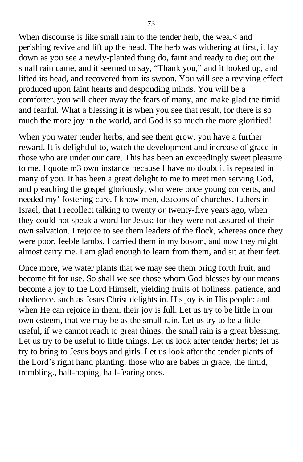When discourse is like small rain to the tender herb, the weal< and perishing revive and lift up the head. The herb was withering at first, it lay down as you see a newly-planted thing do, faint and ready to die; out the small rain came, and it seemed to say, "Thank you," and it looked up, and lifted its head, and recovered from its swoon. You will see a reviving effect produced upon faint hearts and desponding minds. You will be a comforter, you will cheer away the fears of many, and make glad the timid and fearful. What a blessing it is when you see that result, for there is so much the more joy in the world, and God is so much the more glorified!

When you water tender herbs, and see them grow, you have a further reward. It is delightful to, watch the development and increase of grace in those who are under our care. This has been an exceedingly sweet pleasure to me. I quote m3 own instance because I have no doubt it is repeated in many of you. It has been a great delight to me to meet men serving God, and preaching the gospel gloriously, who were once young converts, and needed my' fostering care. I know men, deacons of churches, fathers in Israel, that I recollect talking to twenty *or* twenty-five years ago, when they could not speak a word for Jesus; for they were not assured of their own salvation. I rejoice to see them leaders of the flock, whereas once they were poor, feeble lambs. I carried them in my bosom, and now they might almost carry me. I am glad enough to learn from them, and sit at their feet.

Once more, we water plants that we may see them bring forth fruit, and become fit for use. So shall we see those whom God blesses by our means become a joy to the Lord Himself, yielding fruits of holiness, patience, and obedience, such as Jesus Christ delights in. His joy is in His people; and when He can rejoice in them, their joy is full. Let us try to be little in our own esteem, that we may be as the small rain. Let us try to be a little useful, if we cannot reach to great things: the small rain is a great blessing. Let us try to be useful to little things. Let us look after tender herbs; let us try to bring to Jesus boys and girls. Let us look after the tender plants of the Lord's right hand planting, those who are babes in grace, the timid, trembling., half-hoping, half-fearing ones.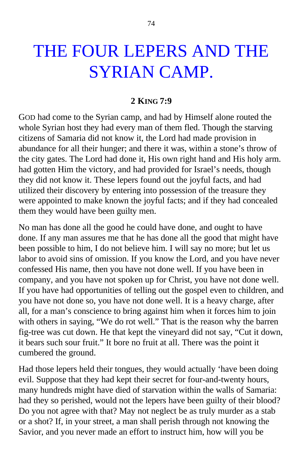## THE FOUR LEPERS AND THE SYRIAN CAMP.

#### **2 KING 7:9**

GOD had come to the Syrian camp, and had by Himself alone routed the whole Syrian host they had every man of them fled. Though the starving citizens of Samaria did not know it, the Lord had made provision in abundance for all their hunger; and there it was, within a stone's throw of the city gates. The Lord had done it, His own right hand and His holy arm. had gotten Him the victory, and had provided for Israel's needs, though they did not know it. These lepers found out the joyful facts, and had utilized their discovery by entering into possession of the treasure they were appointed to make known the joyful facts; and if they had concealed them they would have been guilty men.

No man has done all the good he could have done, and ought to have done. If any man assures me that he has done all the good that might have been possible to him, I do not believe him. I will say no more; but let us labor to avoid sins of omission. If you know the Lord, and you have never confessed His name, then you have not done well. If you have been in company, and you have not spoken up for Christ, you have not done well. If you have had opportunities of telling out the gospel even to children, and you have not done so, you have not done well. It is a heavy charge, after all, for a man's conscience to bring against him when it forces him to join with others in saying, "We do rot well." That is the reason why the barren fig-tree was cut down. He that kept the vineyard did not say, "Cut it down, it bears such sour fruit." It bore no fruit at all. There was the point it cumbered the ground.

Had those lepers held their tongues, they would actually 'have been doing evil. Suppose that they had kept their secret for four-and-twenty hours, many hundreds might have died of starvation within the walls of Samaria: had they so perished, would not the lepers have been guilty of their blood? Do you not agree with that? May not neglect be as truly murder as a stab or a shot? If, in your street, a man shall perish through not knowing the Savior, and you never made an effort to instruct him, how will you be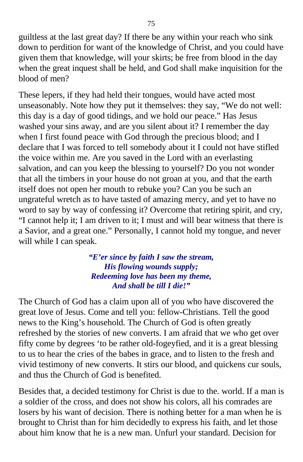guiltless at the last great day? If there be any within your reach who sink down to perdition for want of the knowledge of Christ, and you could have given them that knowledge, will your skirts; be free from blood in the day when the great inquest shall be held, and God shall make inquisition for the blood of men?

These lepers, if they had held their tongues, would have acted most unseasonably. Note how they put it themselves: they say, "We do not well: this day is a day of good tidings, and we hold our peace." Has Jesus washed your sins away, and are you silent about it? I remember the day when I first found peace with God through the precious blood; and I declare that I was forced to tell somebody about it I could not have stifled the voice within me. Are you saved in the Lord with an everlasting salvation, and can you keep the blessing to yourself? Do you not wonder that all the timbers in your house do not groan at you, and that the earth itself does not open her mouth to rebuke you? Can you be such an ungrateful wretch as to have tasted of amazing mercy, and yet to have no word to say by way of confessing it? Overcome that retiring spirit, and cry, "I cannot help it; I am driven to it; I must and will bear witness that there is a Savior, and a great one." Personally, I cannot hold my tongue, and never will while I can speak.

> *"E'er since by faith I saw the stream, His flowing wounds supply; Redeeming love has been my theme, And shall be till I die!"*

The Church of God has a claim upon all of you who have discovered the great love of Jesus. Come and tell you: fellow-Christians. Tell the good news to the King's household. The Church of God is often greatly refreshed by the stories of new converts. I am afraid that we who get over fifty come by degrees 'to be rather old-fogeyfied, and it is a great blessing to us to hear the cries of the babes in grace, and to listen to the fresh and vivid testimony of new converts. It stirs our blood, and quickens cur souls, and thus the Church of God is benefited.

Besides that, a decided testimony for Christ is due to the. world. If a man is a soldier of the cross, and does not show his colors, all his comrades are losers by his want of decision. There is nothing better for a man when he is brought to Christ than for him decidedly to express his faith, and let those about him know that he is a new man. Unfurl your standard. Decision for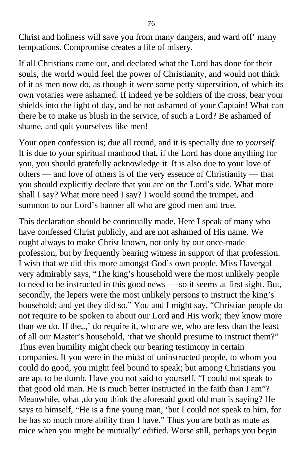Christ and holiness will save you from many dangers, and ward off' many temptations. Compromise creates a life of misery.

If all Christians came out, and declared what the Lord has done for their souls, the world would feel the power of Christianity, and would not think of it as men now do, as though it were some petty superstition, of which its own votaries were ashamed. If indeed ye be soldiers of the cross, bear your shields into the light of day, and be not ashamed of your Captain! What can there be to make us blush in the service, of such a Lord? Be ashamed of shame, and quit yourselves like men!

Your open confession is; due all round, and it is specially due *to yourself.* It is due to your spiritual manhood that, if the Lord has done anything for you, you should gratefully acknowledge it. It is also due to your love of others — and love of others is of the very essence of Christianity — that you should explicitly declare that you are on the Lord's side. What more shall I say? What more need I say? I would sound the trumpet, and summon to our Lord's banner all who are good men and true.

This declaration should be continually made. Here I speak of many who have confessed Christ publicly, and are not ashamed of His name. We ought always to make Christ known, not only by our once-made profession, but by frequently bearing witness in support of that profession. I wish that we did this more amongst God's own people. Miss Havergal very admirably says, "The king's household were the most unlikely people to need to be instructed in this good news — so it seems at first sight. But, secondly, the lepers were the most unlikely persons to instruct the king's household; and yet they did so." You and I might say, "Christian people do not require to be spoken to about our Lord and His work; they know more than we do. If the,.,' do require it, who are we, who are less than the least of all our Master's household, 'that we should presume to instruct them?" Thus even humility might check our bearing testimony in certain companies. If you were in the midst of uninstructed people, to whom you could do good, you might feel bound to speak; but among Christians you are apt to be dumb. Have you not said to yourself, "I could not speak to that good old man. He is much better instructed in the faith than I am"? Meanwhile, what ,do you think the aforesaid good old man is saying? He says to himself, "He is a fine young man, 'but I could not speak to him, for he has so much more ability than I have." Thus you are both as mute as mice when you might be mutually' edified. Worse still, perhaps you begin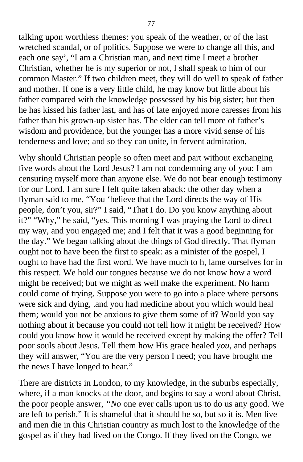talking upon worthless themes: you speak of the weather, or of the last wretched scandal, or of politics. Suppose we were to change all this, and each one say', "I am a Christian man, and next time I meet a brother Christian, whether he is my superior or not, I shall speak to him of our common Master." If two children meet, they will do well to speak of father and mother. If one is a very little child, he may know but little about his father compared with the knowledge possessed by his big sister; but then he has kissed his father last, and has of late enjoyed more caresses from his father than his grown-up sister has. The elder can tell more of father's wisdom and providence, but the younger has a more vivid sense of his tenderness and love; and so they can unite, in fervent admiration.

Why should Christian people so often meet and part without exchanging five words about the Lord Jesus? I am not condemning any of you: I am censuring myself more than anyone else. We do not bear enough testimony for our Lord. I am sure I felt quite taken aback: the other day when a flyman said to me, "You 'believe that the Lord directs the way of His people, don't you, sir?" I said, "That I do. Do you know anything about it?" "Why," he said, "yes. This morning I was praying the Lord to direct my way, and you engaged me; and I felt that it was a good beginning for the day." We began talking about the things of God directly. That flyman ought not to have been the first to speak: as a minister of the gospel, I ought to have had the first word. We have much to h, lame ourselves for in this respect. We hold our tongues because we do not know how a word might be received; but we might as well make the experiment. No harm could come of trying. Suppose you were to go into a place where persons were sick and dying, .and you had medicine about you which would heal them; would you not be anxious to give them some of it? Would you say nothing about it because you could not tell how it might be received? How could you know how it would be received except by making the offer? Tell poor souls about Jesus. Tell them how His grace healed *you,* and perhaps they will answer, "You are the very person I need; you have brought me the news I have longed to hear."

There are districts in London, to my knowledge, in the suburbs especially, where, if a man knocks at the door, and begins to say a word about Christ, the poor people answer, *"No* one ever calls upon us to do us any good. We are left to perish." It is shameful that it should be so, but so it is. Men live and men die in this Christian country as much lost to the knowledge of the gospel as if they had lived on the Congo. If they lived on the Congo, we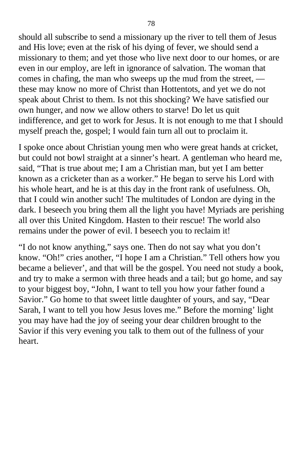should all subscribe to send a missionary up the river to tell them of Jesus and His love; even at the risk of his dying of fever, we should send a missionary to them; and yet those who live next door to our homes, or are even in our employ, are left in ignorance of salvation. The woman that comes in chafing, the man who sweeps up the mud from the street, these may know no more of Christ than Hottentots, and yet we do not speak about Christ to them. Is not this shocking? We have satisfied our own hunger, and now we allow others to starve! Do let us quit indifference, and get to work for Jesus. It is not enough to me that I should myself preach the, gospel; I would fain turn all out to proclaim it.

I spoke once about Christian young men who were great hands at cricket, but could not bowl straight at a sinner's heart. A gentleman who heard me, said, "That is true about me; I am a Christian man, but yet I am better known as a cricketer than as a worker." He began to serve his Lord with his whole heart, and he is at this day in the front rank of usefulness. Oh, that I could win another such! The multitudes of London are dying in the dark. I beseech you bring them all the light you have! Myriads are perishing all over this United Kingdom. Hasten to their rescue! The world also remains under the power of evil. I beseech you to reclaim it!

"I do not know anything," says one. Then do not say what you don't know. "Oh!" cries another, "I hope I am a Christian." Tell others how you became a believer', and that will be the gospel. You need not study a book, and try to make a sermon with three heads and a tail; but go home, and say to your biggest boy, "John, I want to tell you how your father found a Savior." Go home to that sweet little daughter of yours, and say, "Dear Sarah, I want to tell you how Jesus loves me." Before the morning' light you may have had the joy of seeing your dear children brought to the Savior if this very evening you talk to them out of the fullness of your heart.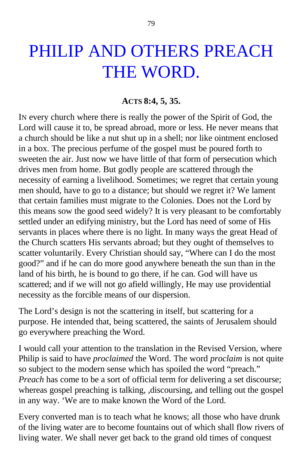## PHILIP AND OTHERS PREACH THE WORD.

### **ACTS 8:4, 5, 35.**

IN every church where there is really the power of the Spirit of God, the Lord will cause it to, be spread abroad, more or less. He never means that a church should be like a nut shut up in a shell; nor like ointment enclosed in a box. The precious perfume of the gospel must be poured forth to sweeten the air. Just now we have little of that form of persecution which drives men from home. But godly people are scattered through the necessity of earning a livelihood. Sometimes; we regret that certain young men should, have to go to a distance; but should we regret it? We lament that certain families must migrate to the Colonies. Does not the Lord by this means sow the good seed widely? It is very pleasant to be comfortably settled under an edifying ministry, but the Lord has need of some of His servants in places where there is no light. In many ways the great Head of the Church scatters His servants abroad; but they ought of themselves to scatter voluntarily. Every Christian should say, "Where can I do the most good?" and if he can do more good anywhere beneath the sun than in the land of his birth, he is bound to go there, if he can. God will have us scattered; and if we will not go afield willingly, He may use providential necessity as the forcible means of our dispersion.

The Lord's design is not the scattering in itself, but scattering for a purpose. He intended that, being scattered, the saints of Jerusalem should go everywhere preaching the Word.

I would call your attention to the translation in the Revised Version, where Philip is said to have *proclaimed* the Word. The word *proclaim* is not quite so subject to the modern sense which has spoiled the word "preach." *Preach* has come to be a sort of official term for delivering a set discourse; whereas gospel preaching is talking, ,discoursing, and telling out the gospel in any way. 'We are to make known the Word of the Lord.

Every converted man is to teach what he knows; all those who have drunk of the living water are to become fountains out of which shall flow rivers of living water. We shall never get back to the grand old times of conquest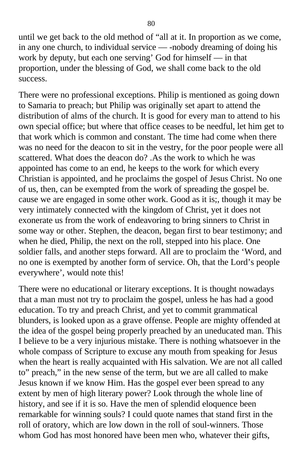until we get back to the old method of "all at it. In proportion as we come, in any one church, to individual service — -nobody dreaming of doing his work by deputy, but each one serving' God for himself — in that proportion, under the blessing of God, we shall come back to the old success.

There were no professional exceptions. Philip is mentioned as going down to Samaria to preach; but Philip was originally set apart to attend the distribution of alms of the church. It is good for every man to attend to his own special office; but where that office ceases to be needful, let him get to that work which is common and constant. The time had come when there was no need for the deacon to sit in the vestry, for the poor people were all scattered. What does the deacon do? .As the work to which he was appointed has come to an end, he keeps to the work for which every Christian is appointed, and he proclaims the gospel of Jesus Christ. No one of us, then, can be exempted from the work of spreading the gospel be. cause we are engaged in some other work. Good as it is;, though it may be very intimately connected with the kingdom of Christ, yet it does not exonerate us from the work of endeavoring to bring sinners to Christ in some way or other. Stephen, the deacon, began first to bear testimony; and when he died, Philip, the next on the roll, stepped into his place. One soldier falls, and another steps forward. All are to proclaim the 'Word, and no one is exempted by another form of service. Oh, that the Lord's people everywhere', would note this!

There were no educational or literary exceptions. It is thought nowadays that a man must not try to proclaim the gospel, unless he has had a good education. To try and preach Christ, and yet to commit grammatical blunders, is looked upon as a grave offense. People are mighty offended at the idea of the gospel being properly preached by an uneducated man. This I believe to be a very injurious mistake. There is nothing whatsoever in the whole compass of Scripture to excuse any mouth from speaking for Jesus when the heart is really acquainted with His salvation. We are not all called to" preach," in the new sense of the term, but we are all called to make Jesus known if we know Him. Has the gospel ever been spread to any extent by men of high literary power? Look through the whole line of history, and see if it is so. Have the men of splendid eloquence been remarkable for winning souls? I could quote names that stand first in the roll of oratory, which are low down in the roll of soul-winners. Those whom God has most honored have been men who, whatever their gifts,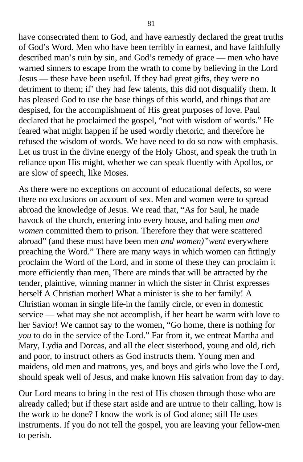have consecrated them to God, and have earnestly declared the great truths of God's Word. Men who have been terribly in earnest, and have faithfully described man's ruin by sin, and God's remedy of grace — men who have warned sinners to escape from the wrath to come by believing in the Lord Jesus — these have been useful. If they had great gifts, they were no detriment to them; if' they had few talents, this did not disqualify them. It has pleased God to use the base things of this world, and things that are despised, for the accomplishment of His great purposes of love. Paul declared that he proclaimed the gospel, "not with wisdom of words." He feared what might happen if he used wordly rhetoric, and therefore he refused the wisdom of words. We have need to do so now with emphasis. Let us trust in the divine energy of the Holy Ghost, and speak the truth in reliance upon His might, whether we can speak fluently with Apollos, or are slow of speech, like Moses.

As there were no exceptions on account of educational defects, so were there no exclusions on account of sex. Men and women were to spread abroad the knowledge of Jesus. We read that, "As for Saul, he made havock of the church, entering into every house, and haling men *and women* committed them to prison. Therefore they that were scattered abroad" (and these must have been men *and women)"went* everywhere preaching the Word." There are many ways in which women can fittingly proclaim the Word of the Lord, and in some of these they can proclaim it more efficiently than men, There are minds that will be attracted by the tender, plaintive, winning manner in which the sister in Christ expresses herself A Christian mother! What a minister is she to her family! A Christian woman in single life-in the family circle, or even in domestic service — what may she not accomplish, if her heart be warm with love to her Savior! We cannot say to the women, "Go home, there is nothing for *you* to do in the service of the Lord." Far from it, we entreat Martha and Mary, Lydia and Dorcas, and all the elect sisterhood, young and old, rich and poor, to instruct others as God instructs them. Young men and maidens, old men and matrons, yes, and boys and girls who love the Lord, should speak well of Jesus, and make known His salvation from day to day.

Our Lord means to bring in the rest of His chosen through those who are already called; but if these start aside and are untrue to their calling, how is the work to be done? I know the work is of God alone; still He uses instruments. If you do not tell the gospel, you are leaving your fellow-men to perish.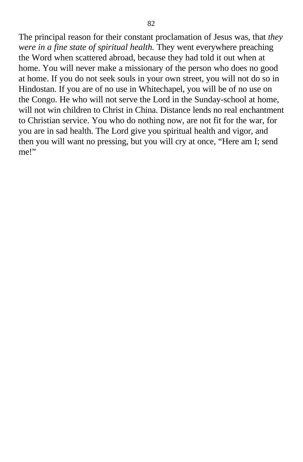The principal reason for their constant proclamation of Jesus was, that *they were in a fine state of spiritual health.* They went everywhere preaching the Word when scattered abroad, because they had told it out when at home. You will never make a missionary of the person who does no good at home. If you do not seek souls in your own street, you will not do so in Hindostan. If you are of no use in Whitechapel, you will be of no use on the Congo. He who will not serve the Lord in the Sunday-school at home, will not win children to Christ in China. Distance lends no real enchantment to Christian service. You who do nothing now, are not fit for the war, for you are in sad health. The Lord give you spiritual health and vigor, and then you will want no pressing, but you will cry at once, "Here am I; send me!"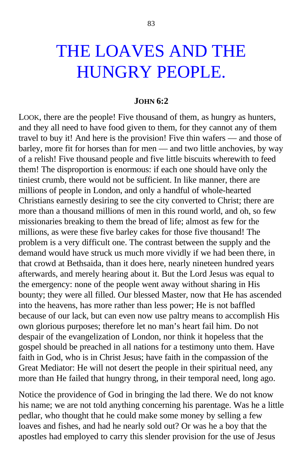## THE LOAVES AND THE HUNGRY PEOPLE.

#### **JOHN 6:2**

LOOK, there are the people! Five thousand of them, as hungry as hunters, and they all need to have food given to them, for they cannot any of them travel to buy it! And here is the provision! Five thin wafers — and those of barley, more fit for horses than for men — and two little anchovies, by way of a relish! Five thousand people and five little biscuits wherewith to feed them! The disproportion is enormous: if each one should have only the tiniest crumb, there would not be sufficient. In like manner, there are millions of people in London, and only a handful of whole-hearted Christians earnestly desiring to see the city converted to Christ; there are more than a thousand millions of men in this round world, and oh, so few missionaries breaking to them the bread of life; almost as few for the millions, as were these five barley cakes for those five thousand! The problem is a very difficult one. The contrast between the supply and the demand would have struck us much more vividly if we had been there, in that crowd at Bethsaida, than it does here, nearly nineteen hundred years afterwards, and merely hearing about it. But the Lord Jesus was equal to the emergency: none of the people went away without sharing in His bounty; they were all filled. Our blessed Master, now that He has ascended into the heavens, has more rather than less power; He is not baffled because of our lack, but can even now use paltry means to accomplish His own glorious purposes; therefore let no man's heart fail him. Do not despair of the evangelization of London, nor think it hopeless that the gospel should be preached in all nations for a testimony unto them. Have faith in God, who is in Christ Jesus; have faith in the compassion of the Great Mediator: He will not desert the people in their spiritual need, any more than He failed that hungry throng, in their temporal need, long ago.

Notice the providence of God in bringing the lad there. We do not know his name; we are not told anything concerning his parentage. Was he a little pedlar, who thought that he could make some money by selling a few loaves and fishes, and had he nearly sold out? Or was he a boy that the apostles had employed to carry this slender provision for the use of Jesus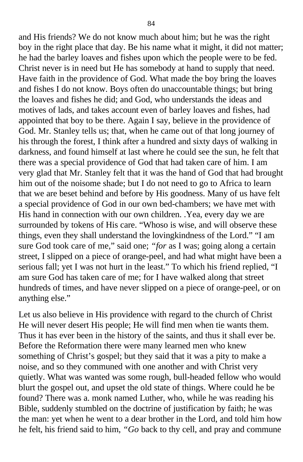and His friends? We do not know much about him; but he was the right boy in the right place that day. Be his name what it might, it did not matter; he had the barley loaves and fishes upon which the people were to be fed. Christ never is in need but He has somebody at hand to supply that need. Have faith in the providence of God. What made the boy bring the loaves and fishes I do not know. Boys often do unaccountable things; but bring the loaves and fishes he did; and God, who understands the ideas and motives of lads, and takes account even of barley loaves and fishes, had appointed that boy to be there. Again I say, believe in the providence of God. Mr. Stanley tells us; that, when he came out of that long journey of his through the forest, I think after a hundred and sixty days of walking in darkness, and found himself at last where he could see the sun, he felt that there was a special providence of God that had taken care of him. I am very glad that Mr. Stanley felt that it was the hand of God that had brought him out of the noisome shade; but I do not need to go to Africa to learn that we are beset behind and before by His goodness. Many of us have felt a special providence of God in our own bed-chambers; we have met with His hand in connection with our own children. .Yea, every day we are surrounded by tokens of His care. "Whoso is wise, and will observe these things, even they shall understand the lovingkindness of the Lord." "I am sure God took care of me," said one; *"for* as I was; going along a certain street, I slipped on a piece of orange-peel, and had what might have been a serious fall; yet I was not hurt in the least." To which his friend replied, "I am sure God has taken care of me; for I have walked along that street hundreds of times, and have never slipped on a piece of orange-peel, or on anything else."

Let us also believe in His providence with regard to the church of Christ He will never desert His people; He will find men when tie wants them. Thus it has ever been in the history of the saints, and thus it shall ever be. Before the Reformation there were many learned men who knew something of Christ's gospel; but they said that it was a pity to make a noise, and so they communed with one another and with Christ very quietly. What was wanted was some rough, bull-headed fellow who would blurt the gospel out, and upset the old state of things. Where could he be found? There was a. monk named Luther, who, while he was reading his Bible, suddenly stumbled on the doctrine of justification by faith; he was the man: yet when he went to a dear brother in the Lord, and told him how he felt, his friend said to him, *"Go* back to thy cell, and pray and commune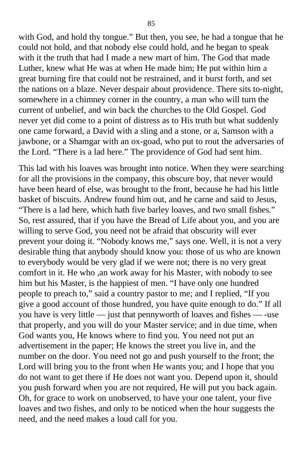with God, and hold thy tongue." But then, you see, he had a tongue that he could not hold, and that nobody else could hold, and he began to speak with it the truth that had I made a new mart of him. The God that made Luther, knew what He was at when He made him; He put within him a great burning fire that could not be restrained, and it burst forth, and set the nations on a blaze. Never despair about providence. There sits to-night, somewhere in a chimney corner in the country, a man who will turn the current of unbelief, and win back the churches to the Old Gospel. God never yet did come to a point of distress as to His truth but what suddenly one came forward, a David with a sling and a stone, or a, Samson with a jawbone, or a Shamgar with an ox-goad, who put to rout the adversaries of the Lord. "There is a lad here." The providence of God had sent him.

This lad with his loaves was brought into notice. When they were searching for all the provisions in the company, this obscure boy, that never would have been heard of else, was brought to the front, because he had his little basket of biscuits. Andrew found him out, and he carne and said to Jesus, "There is a lad here, which hath five barley loaves, and two small fishes." So, rest assured, that if you have the Bread of Life about you, and you are willing to serve God, you need not be afraid that obscurity will ever prevent your doing it. "Nobody knows me," says one. Well, it is not a very desirable thing that anybody should know you: those of us who are known to everybody would be very glad if we were not; there is no very great comfort in it. He who ,an work away for his Master, with nobody to see him but his Master, is the happiest of men. "I have only one hundred people to preach to," said a country pastor to me; and I replied, "If you give a good account of those hundred, you have quite enough to do." If all you have is very little — just that pennyworth of loaves and fishes — -use that properly, and you will do your Master service; and in due time, when God wants you, He knows where to find you. You need not put an advertisement in the paper; He knows the street you live in, and the number on the door. You need not go and push yourself to the front; the Lord will bring you to the front when He wants you; and I hope that you do not want to get there if He does not want you. Depend upon it, should you push forward when you are not required, He will put you back again. Oh, for grace to work on unobserved, to have your one talent, your five loaves and two fishes, and only to be noticed when the hour suggests the need, and the need makes a loud call for you.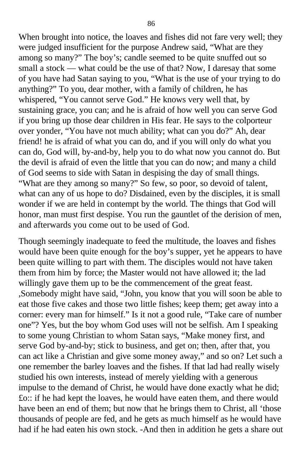When brought into notice, the loaves and fishes did not fare very well; they were judged insufficient for the purpose Andrew said, "What are they among so many?" The boy's; candle seemed to be quite snuffed out so small a stock — what could be the use of that? Now, I daresay that some of you have had Satan saying to you, "What is the use of your trying to do anything?" To you, dear mother, with a family of children, he has whispered, "You cannot serve God." He knows very well that, by sustaining grace, you can; and he is afraid of how well you can serve God if you bring up those dear children in His fear. He says to the colporteur over yonder, "You have not much ability; what can you do?" Ah, dear friend! he is afraid of what you can do, and if you will only do what you can do, God will, by-and-by, help you to do what now you cannot do. But the devil is afraid of even the little that you can do now; and many a child of God seems to side with Satan in despising the day of small things. "What are they among so many?" So few, so poor, so devoid of talent, what can any of us hope to do? Disdained, even by the disciples, it is small wonder if we are held in contempt by the world. The things that God will honor, man must first despise. You run the gauntlet of the derision of men, and afterwards you come out to be used of God.

Though seemingly inadequate to feed the multitude, the loaves and fishes would have been quite enough for the boy's supper, yet he appears to have been quite willing to part with them. The disciples would not have taken them from him by force; the Master would not have allowed it; the lad willingly gave them up to be the commencement of the great feast. ,Somebody might have said, "John, you know that you will soon be able to eat those five cakes and those two little fishes; keep them; get away into a corner: every man for himself." Is it not a good rule, "Take care of number one"? Yes, but the boy whom God uses will not be selfish. Am I speaking to some young Christian to whom Satan says, "Make money first, and serve God by-and-by; stick to business, and get on; then, after that, you can act like a Christian and give some money away," and so on? Let such a one remember the barley loaves and the fishes. If that lad had really wisely studied his own interests, instead of merely yielding with a generous impulse to the demand of Christ, he would have done exactly what he did; £o:: if he had kept the loaves, he would have eaten them, and there would have been an end of them; but now that he brings them to Christ, all 'those thousands of people are fed, and he gets as much himself as he would have had if he had eaten his own stock. -And then in addition he gets a share out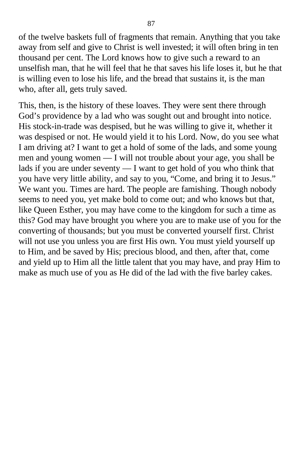of the twelve baskets full of fragments that remain. Anything that you take away from self and give to Christ is well invested; it will often bring in ten thousand per cent. The Lord knows how to give such a reward to an unselfish man, that he will feel that he that saves his life loses it, but he that is willing even to lose his life, and the bread that sustains it, is the man who, after all, gets truly saved.

This, then, is the history of these loaves. They were sent there through God's providence by a lad who was sought out and brought into notice. His stock-in-trade was despised, but he was willing to give it, whether it was despised or not. He would yield it to his Lord. Now, do you see what I am driving at? I want to get a hold of some of the lads, and some young men and young women — I will not trouble about your age, you shall be lads if you are under seventy — I want to get hold of you who think that you have very little ability, and say to you, "Come, and bring it to Jesus." We want you. Times are hard. The people are famishing. Though nobody seems to need you, yet make bold to come out; and who knows but that, like Queen Esther, you may have come to the kingdom for such a time as this? God may have brought you where you are to make use of you for the converting of thousands; but you must be converted yourself first. Christ will not use you unless you are first His own. You must yield yourself up to Him, and be saved by His; precious blood, and then, after that, come and yield up to Him all the little talent that you may have, and pray Him to make as much use of you as He did of the lad with the five barley cakes.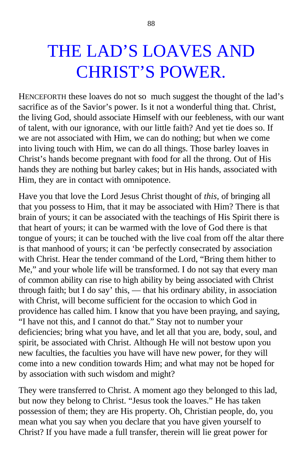# THE LAD'S LOAVES AND CHRIST'S POWER.

HENCEFORTH these loaves do not so much suggest the thought of the lad's sacrifice as of the Savior's power. Is it not a wonderful thing that. Christ, the living God, should associate Himself with our feebleness, with our want of talent, with our ignorance, with our little faith? And yet tie does so. If we are not associated with Him, we can do nothing; but when we come into living touch with Him, we can do all things. Those barley loaves in Christ's hands become pregnant with food for all the throng. Out of His hands they are nothing but barley cakes; but in His hands, associated with Him, they are in contact with omnipotence.

Have you that love the Lord Jesus Christ thought of *this,* of bringing all that you possess to Him, that it may be associated with Him? There is that brain of yours; it can be associated with the teachings of His Spirit there is that heart of yours; it can be warmed with the love of God there is that tongue of yours; it can be touched with the live coal from off the altar there is that manhood of yours; it can 'be perfectly consecrated by association with Christ. Hear the tender command of the Lord, "Bring them hither to Me," and your whole life will be transformed. I do not say that every man of common ability can rise to high ability by being associated with Christ through faith; but I do say' this, — that his ordinary ability, in association with Christ, will become sufficient for the occasion to which God in providence has called him. I know that you have been praying, and saying, "I have not this, and I cannot do that." Stay not to number your deficiencies; bring what you have, and let all that you are, body, soul, and spirit, be associated with Christ. Although He will not bestow upon you new faculties, the faculties you have will have new power, for they will come into a new condition towards Him; and what may not be hoped for by association with such wisdom and might?

They were transferred to Christ. A moment ago they belonged to this lad, but now they belong to Christ. "Jesus took the loaves." He has taken possession of them; they are His property. Oh, Christian people, do, you mean what you say when you declare that you have given yourself to Christ? If you have made a full transfer, therein will lie great power for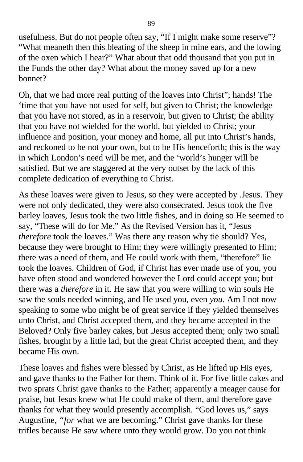usefulness. But do not people often say, "If I might make some reserve"? "What meaneth then this bleating of the sheep in mine ears, and the lowing of the oxen which I hear?" What about that odd thousand that you put in the Funds the other day? What about the money saved up for a new bonnet?

Oh, that we had more real putting of the loaves into Christ"; hands! The 'time that you have not used for self, but given to Christ; the knowledge that you have not stored, as in a reservoir, but given to Christ; the ability that you have not wielded for the world, but yielded to Christ; your influence and position, your money and home, all put into Christ's hands, and reckoned to be not your own, but to be His henceforth; this is the way in which London's need will be met, and the 'world's hunger will be satisfied. But we are staggered at the very outset by the lack of this complete dedication of everything to Christ.

As these loaves were given to Jesus, so they were accepted by .Jesus. They were not only dedicated, they were also consecrated. Jesus took the five barley loaves, Jesus took the two little fishes, and in doing so He seemed to say, "These will do for Me." As the Revised Version has it, "Jesus *therefore* took the loaves." Was there any reason why tie should? Yes, because they were brought to Him; they were willingly presented to Him; there was a need of them, and He could work with them, "therefore" lie took the loaves. Children of God, if Christ has ever made use of you, you have often stood and wondered however the Lord could accept you; but there was a *therefore* in it. He saw that you were willing to win souls He saw the souls needed winning, and He used you, even *you.* Am I not now speaking to some who might be of great service if they yielded themselves unto Christ, and Christ accepted them, and they became accepted in the Beloved? Only five barley cakes, but .Jesus accepted them; only two small fishes, brought by a little lad, but the great Christ accepted them, and they became His own.

These loaves and fishes were blessed by Christ, as He lifted up His eyes, and gave thanks to the Father for them. Think of it. For five little cakes and two sprats Christ gave thanks to the Father; apparently a meager cause for praise, but Jesus knew what He could make of them, and therefore gave thanks for what they would presently accomplish. "God loves us," says Augustine, *"for* what we are becoming." Christ gave thanks for these trifles because He saw where unto they would grow. Do you not think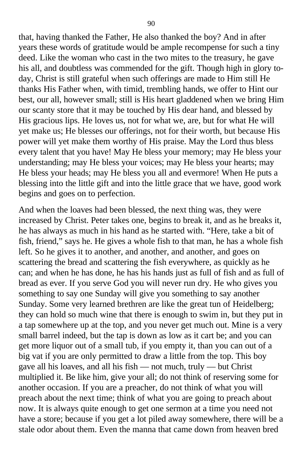that, having thanked the Father, He also thanked the boy? And in after years these words of gratitude would be ample recompense for such a tiny deed. Like the woman who cast in the two mites to the treasury, he gave his all, and doubtless was commended for the gift. Though high in glory today, Christ is still grateful when such offerings are made to Him still He thanks His Father when, with timid, trembling hands, we offer to Hint our best, our all, however small; still is His heart gladdened when we bring Him our scanty store that it may be touched by His dear hand, and blessed by His gracious lips. He loves us, not for what we, are, but for what He will yet make us; He blesses our offerings, not for their worth, but because His power will yet make them worthy of His praise. May the Lord thus bless every talent that you have! May He bless your memory; may He bless your understanding; may He bless your voices; may He bless your hearts; may He bless your heads; may He bless you all and evermore! When He puts a blessing into the little gift and into the little grace that we have, good work begins and goes on to perfection.

And when the loaves had been blessed, the next thing was, they were increased by Christ. Peter takes one, begins to break it, and as he breaks it, he has always as much in his hand as he started with. "Here, take a bit of fish, friend," says he. He gives a whole fish to that man, he has a whole fish left. So he gives it to another, and another, and another, and goes on scattering the bread and scattering the fish everywhere, as quickly as he can; and when he has done, he has his hands just as full of fish and as full of bread as ever. If you serve God you will never run dry. He who gives you something to say one Sunday will give you something to say another Sunday. Some very learned brethren are like the great tun of Heidelberg; they can hold so much wine that there is enough to swim in, but they put in a tap somewhere up at the top, and you never get much out. Mine is a very small barrel indeed, but the tap is down as low as it cart be; and you can get more liquor out of a small tub, if you empty it, than you can out of a big vat if you are only permitted to draw a little from the top. This boy gave all his loaves, and all his fish — not much, truly — but Christ multiplied it. Be like him, give your all; do not think of reserving some for another occasion. If you are a preacher, do not think of what you will preach about the next time; think of what you are going to preach about now. It is always quite enough to get one sermon at a time you need not have a store; because if you get a lot piled away somewhere, there will be a stale odor about them. Even the manna that came down from heaven bred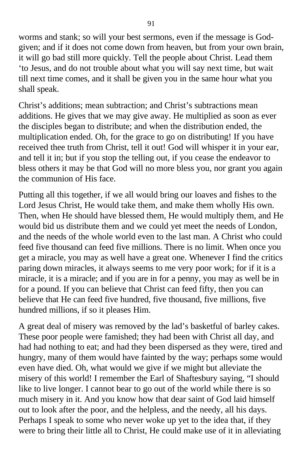worms and stank; so will your best sermons, even if the message is Godgiven; and if it does not come down from heaven, but from your own brain, it will go bad still more quickly. Tell the people about Christ. Lead them 'to Jesus, and do not trouble about what you will say next time, but wait till next time comes, and it shall be given you in the same hour what you shall speak.

Christ's additions; mean subtraction; and Christ's subtractions mean additions. He gives that we may give away. He multiplied as soon as ever the disciples began to distribute; and when the distribution ended, the multiplication ended. Oh, for the grace to go on distributing! If you have received thee truth from Christ, tell it out! God will whisper it in your ear, and tell it in; but if you stop the telling out, if you cease the endeavor to bless others it may be that God will no more bless you, nor grant you again the communion of His face.

Putting all this together, if we all would bring our loaves and fishes to the Lord Jesus Christ, He would take them, and make them wholly His own. Then, when He should have blessed them, He would multiply them, and He would bid us distribute them and we could yet meet the needs of London, and the needs of the whole world even to the last man. A Christ who could feed five thousand can feed five millions. There is no limit. When once you get a miracle, you may as well have a great one. Whenever I find the critics paring down miracles, it always seems to me very poor work; for if it is a miracle, it is a miracle; and if you are in for a penny, you may as well be in for a pound. If you can believe that Christ can feed fifty, then you can believe that He can feed five hundred, five thousand, five millions, five hundred millions, if so it pleases Him.

A great deal of misery was removed by the lad's basketful of barley cakes. These poor people were famished; they had been with Christ all day, and had had nothing to eat; and had they been dispersed as they were, tired and hungry, many of them would have fainted by the way; perhaps some would even have died. Oh, what would we give if we might but alleviate the misery of this world! I remember the Earl of Shaftesbury saying, "I should like to live longer. I cannot bear to go out of the world while there is so much misery in it. And you know how that dear saint of God laid himself out to look after the poor, and the helpless, and the needy, all his days. Perhaps I speak to some who never woke up yet to the idea that, if they were to bring their little all to Christ, He could make use of it in alleviating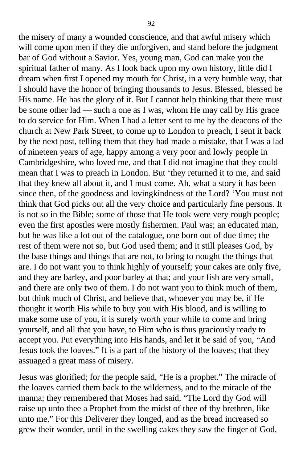the misery of many a wounded conscience, and that awful misery which will come upon men if they die unforgiven, and stand before the judgment bar of God without a Savior. Yes, young man, God can make you the spiritual father of many. As I look back upon my own history, little did I dream when first I opened my mouth for Christ, in a very humble way, that I should have the honor of bringing thousands to Jesus. Blessed, blessed be His name. He has the glory of it. But I cannot help thinking that there must be some other lad — such a one as I was, whom He may call by His grace to do service for Him. When I had a letter sent to me by the deacons of the church at New Park Street, to come up to London to preach, I sent it back by the next post, telling them that they had made a mistake, that I was a lad of nineteen years of age, happy among a very poor and lowly people in Cambridgeshire, who loved me, and that I did not imagine that they could mean that I was to preach in London. But 'they returned it to me, and said that they knew all about it, and I must come. Ah, what a story it has been since then, of the goodness and lovingkindness of the Lord? 'You must not think that God picks out all the very choice and particularly fine persons. It is not so in the Bible; some of those that He took were very rough people; even the first apostles were mostly fishermen. Paul was; an educated man, but he was like a lot out of the catalogue, one born out of due time; the rest of them were not so, but God used them; and it still pleases God, by the base things and things that are not, to bring to nought the things that are. I do not want you to think highly of yourself; your cakes are only five, and they are barley, and poor barley at that; and your fish are very small, and there are only two of them. I do not want you to think much of them, but think much of Christ, and believe that, whoever you may be, if He thought it worth His while to buy you with His blood, and is willing to make some use of you, it is surely worth your while to come and bring yourself, and all that you have, to Him who is thus graciously ready to accept you. Put everything into His hands, and let it be said of you, "And Jesus took the loaves." It is a part of the history of the loaves; that they assuaged a great mass of misery.

Jesus was glorified; for the people said, "He is a prophet." The miracle of the loaves carried them back to the wilderness, and to the miracle of the manna; they remembered that Moses had said, "The Lord thy God will raise up unto thee a Prophet from the midst of thee of thy brethren, like unto me." For this Deliverer they longed, and as the bread increased so grew their wonder, until in the swelling cakes they saw the finger of God,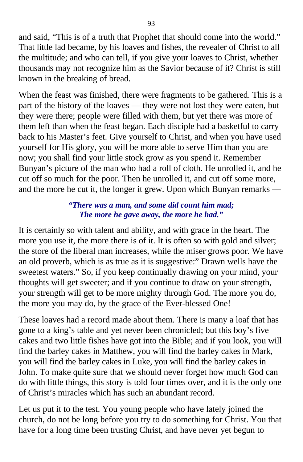and said, "This is of a truth that Prophet that should come into the world." That little lad became, by his loaves and fishes, the revealer of Christ to all the multitude; and who can tell, if you give your loaves to Christ, whether thousands may not recognize him as the Savior because of it? Christ is still known in the breaking of bread.

When the feast was finished, there were fragments to be gathered. This is a part of the history of the loaves — they were not lost they were eaten, but they were there; people were filled with them, but yet there was more of them left than when the feast began. Each disciple had a basketful to carry back to his Master's feet. Give yourself to Christ, and when you have used yourself for His glory, you will be more able to serve Him than you are now; you shall find your little stock grow as you spend it. Remember Bunyan's picture of the man who had a roll of cloth. He unrolled it, and he cut off so much for the poor. Then he unrolled it, and cut off some more, and the more he cut it, the longer it grew. Upon which Bunyan remarks —

#### *"There was a man, and some did count him mad; The more he gave away, the more he had."*

It is certainly so with talent and ability, and with grace in the heart. The more you use it, the more there is of it. It is often so with gold and silver; the store of the liberal man increases, while the miser grows poor. We have an old proverb, which is as true as it is suggestive:" Drawn wells have the sweetest waters." So, if you keep continually drawing on your mind, your thoughts will get sweeter; and if you continue to draw on your strength, your strength will get to be more mighty through God. The more you do, the more you may do, by the grace of the Ever-blessed One!

These loaves had a record made about them. There is many a loaf that has gone to a king's table and yet never been chronicled; but this boy's five cakes and two little fishes have got into the Bible; and if you look, you will find the barley cakes in Matthew, you will find the barley cakes in Mark, you will find the barley cakes in Luke, you will find the barley cakes in John. To make quite sure that we should never forget how much God can do with little things, this story is told four times over, and it is the only one of Christ's miracles which has such an abundant record.

Let us put it to the test. You young people who have lately joined the church, do not be long before you try to do something for Christ. You that have for a long time been trusting Christ, and have never yet begun to